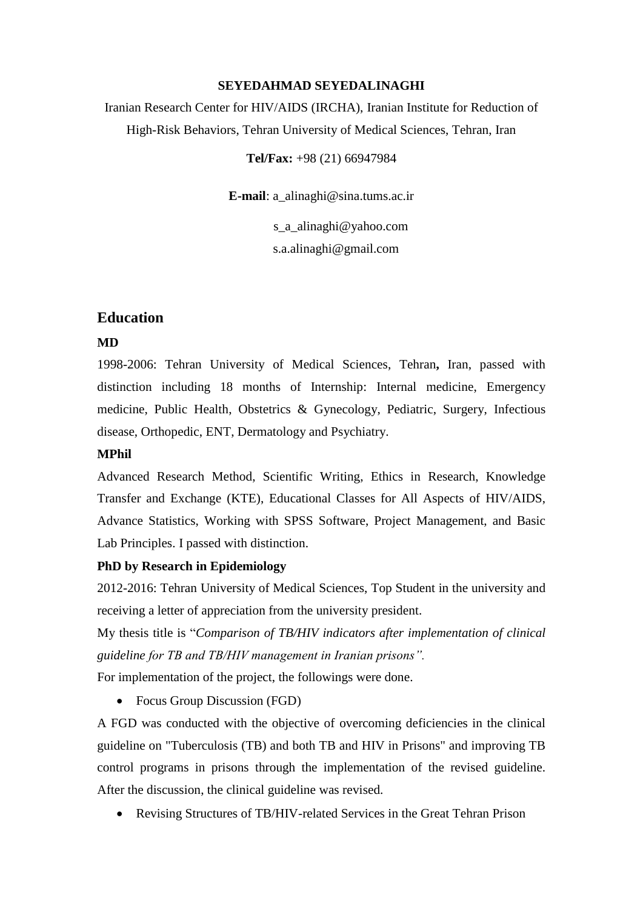#### **SEYEDAHMAD SEYEDALINAGHI**

Iranian Research Center for HIV/AIDS (IRCHA), Iranian Institute for Reduction of High-Risk Behaviors, Tehran University of Medical Sciences, Tehran, Iran

**Tel/Fax:** +98 (21) 66947984

**E-mail**: a\_alinaghi@sina.tums.ac.ir

[s\\_a\\_alinaghi@yahoo.com](mailto:s_a_alinaghi@yahoo.com)

[s.a.alinaghi@gmail.com](mailto:s.a.alinaghi@gmail.com)

### **Education**

#### **MD**

1998-2006: Tehran University of Medical Sciences, Tehran**,** Iran, passed with distinction including 18 months of Internship: Internal medicine, Emergency medicine, Public Health, Obstetrics & Gynecology, Pediatric, Surgery, Infectious disease, Orthopedic, ENT, Dermatology and Psychiatry.

#### **MPhil**

Advanced Research Method, Scientific Writing, Ethics in Research, Knowledge Transfer and Exchange (KTE), Educational Classes for All Aspects of HIV/AIDS, Advance Statistics, Working with SPSS Software, Project Management, and Basic Lab Principles. I passed with distinction.

### **PhD by Research in Epidemiology**

2012-2016: Tehran University of Medical Sciences, Top Student in the university and receiving a letter of appreciation from the university president.

My thesis title is "*Comparison of TB/HIV indicators after implementation of clinical guideline for TB and TB/HIV management in Iranian prisons".*

For implementation of the project, the followings were done.

• Focus Group Discussion (FGD)

A FGD was conducted with the objective of overcoming deficiencies in the clinical guideline on "Tuberculosis (TB) and both TB and HIV in Prisons" and improving TB control programs in prisons through the implementation of the revised guideline. After the discussion, the clinical guideline was revised.

Revising Structures of TB/HIV-related Services in the Great Tehran Prison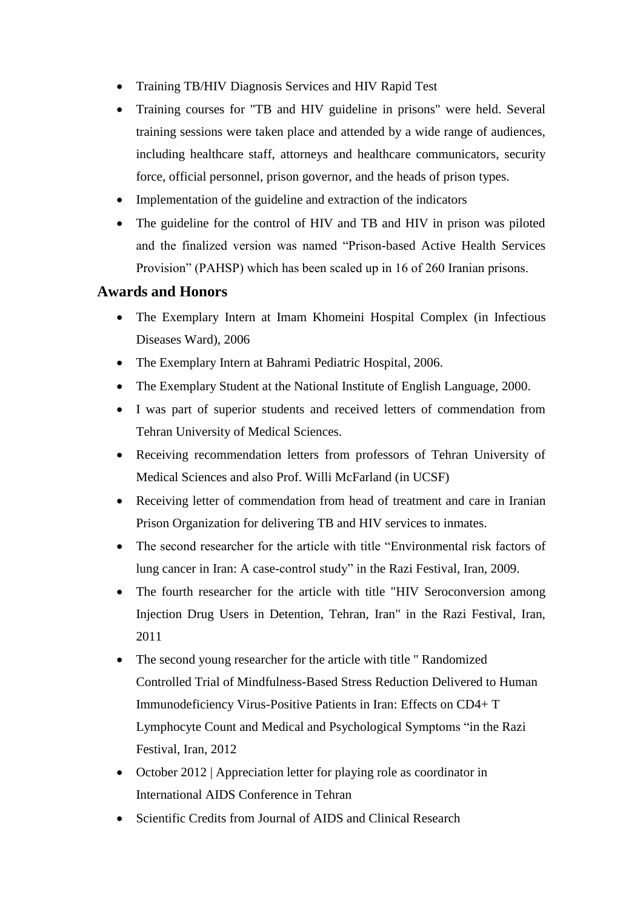- Training TB/HIV Diagnosis Services and HIV Rapid Test
- Training courses for "TB and HIV guideline in prisons" were held. Several training sessions were taken place and attended by a wide range of audiences, including healthcare staff, attorneys and healthcare communicators, security force, official personnel, prison governor, and the heads of prison types.
- Implementation of the guideline and extraction of the indicators
- The guideline for the control of HIV and TB and HIV in prison was piloted and the finalized version was named "Prison-based Active Health Services Provision" (PAHSP) which has been scaled up in 16 of 260 Iranian prisons.

### **Awards and Honors**

- The Exemplary Intern at Imam Khomeini Hospital Complex (in Infectious Diseases Ward), 2006
- The Exemplary Intern at Bahrami Pediatric Hospital, 2006.
- The Exemplary Student at the National Institute of English Language, 2000.
- I was part of superior students and received letters of commendation from Tehran University of Medical Sciences.
- Receiving recommendation letters from professors of Tehran University of Medical Sciences and also Prof. Willi McFarland (in UCSF)
- Receiving letter of commendation from head of treatment and care in Iranian Prison Organization for delivering TB and HIV services to inmates.
- The second researcher for the article with title "Environmental risk factors of lung cancer in Iran: A case-control study" in the Razi Festival, Iran, 2009.
- The fourth researcher for the article with title "HIV Seroconversion among Injection Drug Users in Detention, Tehran, Iran" in the Razi Festival, Iran, 2011
- The second young researcher for the article with title "Randomized Controlled Trial of Mindfulness-Based Stress Reduction Delivered to Human Immunodeficiency Virus-Positive Patients in Iran: Effects on CD4+ T Lymphocyte Count and Medical and Psychological Symptoms "in the Razi Festival, Iran, 2012
- October 2012 | Appreciation letter for playing role as coordinator in International AIDS Conference in Tehran
- Scientific Credits from Journal of AIDS and Clinical Research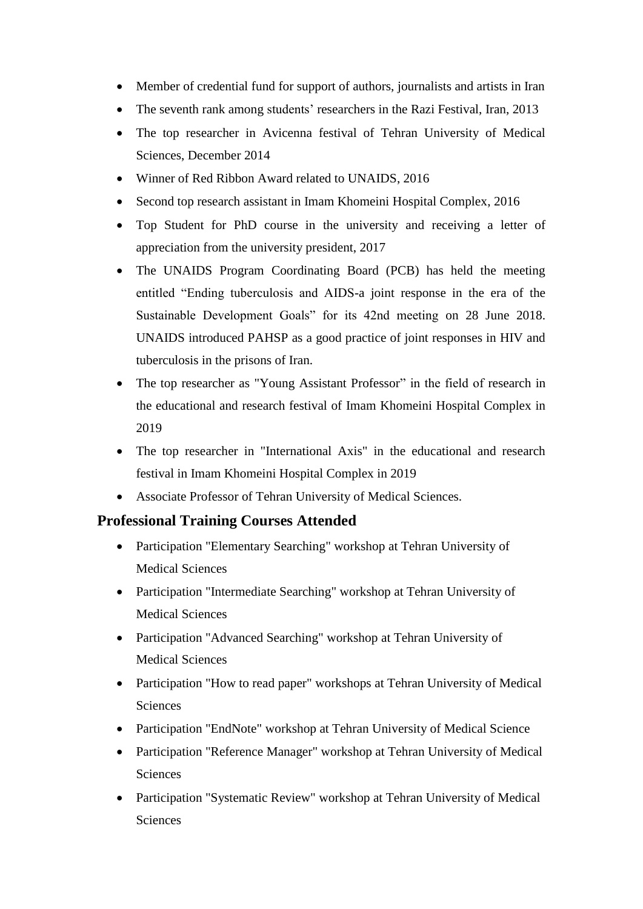- Member of credential fund for support of authors, journalists and artists in Iran
- The seventh rank among students' researchers in the Razi Festival, Iran, 2013
- The top researcher in Avicenna festival of Tehran University of Medical Sciences, December 2014
- Winner of Red Ribbon Award related to UNAIDS, 2016
- Second top research assistant in Imam Khomeini Hospital Complex, 2016
- Top Student for PhD course in the university and receiving a letter of appreciation from the university president, 2017
- The UNAIDS Program Coordinating Board (PCB) has held the meeting entitled "Ending tuberculosis and AIDS-a joint response in the era of the Sustainable Development Goals" for its 42nd meeting on 28 June 2018. UNAIDS introduced PAHSP as a good practice of joint responses in HIV and tuberculosis in the prisons of Iran.
- The top researcher as "Young Assistant Professor" in the field of research in the educational and research festival of Imam Khomeini Hospital Complex in 2019
- The top researcher in "International Axis" in the educational and research festival in Imam Khomeini Hospital Complex in 2019
- Associate Professor of Tehran University of Medical Sciences.

### **Professional Training Courses Attended**

- Participation "Elementary Searching" workshop at Tehran University of Medical Sciences
- Participation "Intermediate Searching" workshop at Tehran University of Medical Sciences
- Participation "Advanced Searching" workshop at Tehran University of Medical Sciences
- Participation "How to read paper" workshops at Tehran University of Medical **Sciences**
- Participation "EndNote" workshop at Tehran University of Medical Science
- Participation "Reference Manager" workshop at Tehran University of Medical **Sciences**
- Participation "Systematic Review" workshop at Tehran University of Medical **Sciences**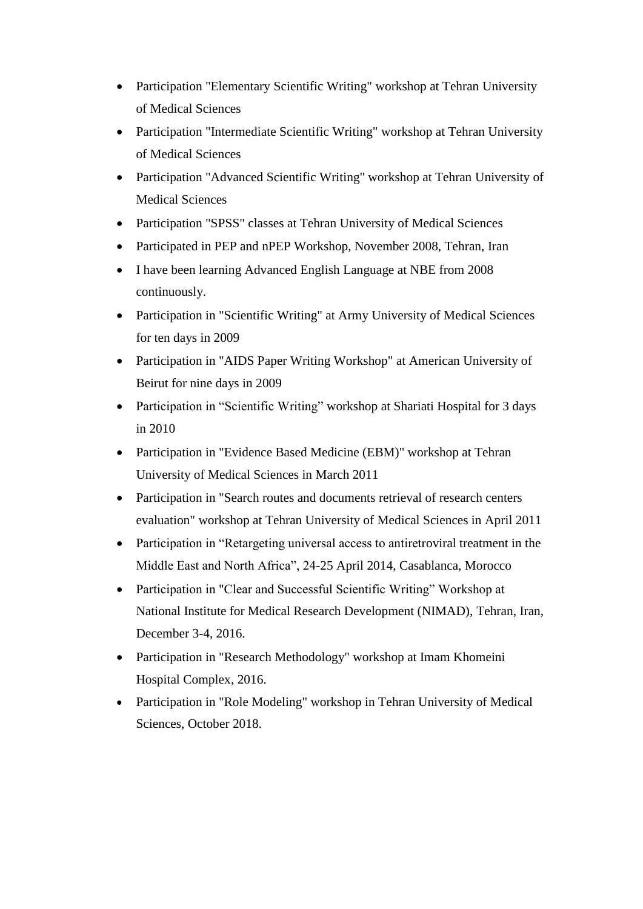- Participation "Elementary Scientific Writing" workshop at Tehran University of Medical Sciences
- Participation "Intermediate Scientific Writing" workshop at Tehran University of Medical Sciences
- Participation "Advanced Scientific Writing" workshop at Tehran University of Medical Sciences
- Participation "SPSS" classes at Tehran University of Medical Sciences
- Participated in PEP and nPEP Workshop, November 2008, Tehran, Iran
- I have been learning Advanced English Language at NBE from 2008 continuously.
- Participation in "Scientific Writing" at Army University of Medical Sciences for ten days in 2009
- Participation in "AIDS Paper Writing Workshop" at American University of Beirut for nine days in 2009
- Participation in "Scientific Writing" workshop at Shariati Hospital for 3 days in 2010
- Participation in "Evidence Based Medicine (EBM)" workshop at Tehran University of Medical Sciences in March 2011
- Participation in "Search routes and documents retrieval of research centers evaluation" workshop at Tehran University of Medical Sciences in April 2011
- Participation in "Retargeting universal access to antiretroviral treatment in the Middle East and North Africa", 24-25 April 2014, Casablanca, Morocco
- Participation in "Clear and Successful Scientific Writing" Workshop at National Institute for Medical Research Development (NIMAD), Tehran, Iran, December 3-4, 2016.
- Participation in "Research Methodology" workshop at Imam Khomeini Hospital Complex, 2016.
- Participation in "Role Modeling" workshop in Tehran University of Medical Sciences, October 2018.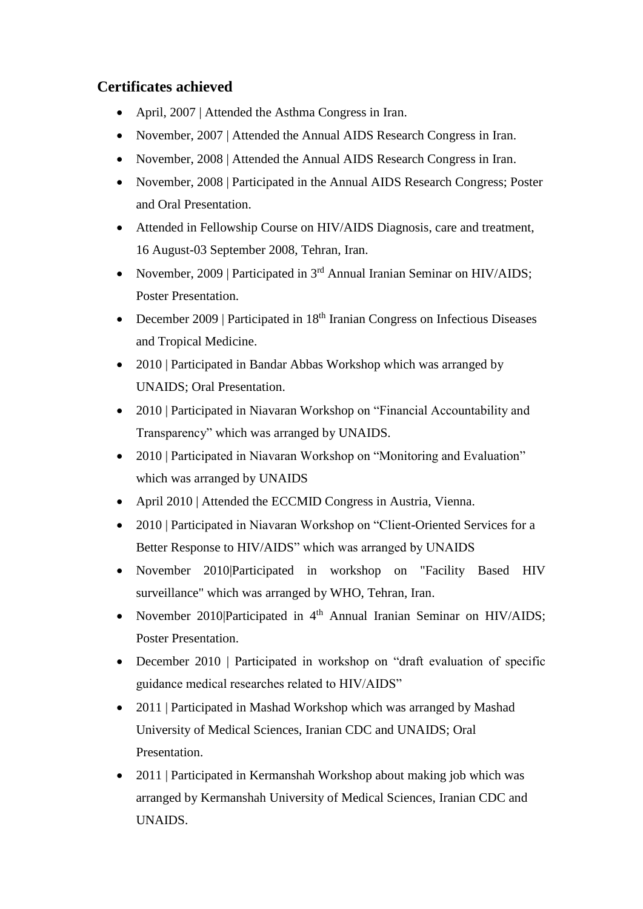# **Certificates achieved**

- April, 2007 | Attended the Asthma Congress in Iran.
- November, 2007 | Attended the Annual AIDS Research Congress in Iran.
- November, 2008 | Attended the Annual AIDS Research Congress in Iran.
- November, 2008 | Participated in the Annual AIDS Research Congress; Poster and Oral Presentation.
- Attended in Fellowship Course on HIV/AIDS Diagnosis, care and treatment, 16 August-03 September 2008, Tehran, Iran.
- November, 2009 | Participated in 3<sup>rd</sup> Annual Iranian Seminar on HIV/AIDS; Poster Presentation.
- December 2009 | Participated in  $18<sup>th</sup>$  Iranian Congress on Infectious Diseases and Tropical Medicine.
- 2010 | Participated in Bandar Abbas Workshop which was arranged by UNAIDS; Oral Presentation.
- 2010 | Participated in Niavaran Workshop on "Financial Accountability and Transparency" which was arranged by UNAIDS.
- 2010 | Participated in Niavaran Workshop on "Monitoring and Evaluation" which was arranged by UNAIDS
- April 2010 | Attended the ECCMID Congress in Austria, Vienna.
- 2010 | Participated in Niavaran Workshop on "Client-Oriented Services for a Better Response to HIV/AIDS" which was arranged by UNAIDS
- November 2010|Participated in workshop on "Facility Based HIV surveillance" which was arranged by WHO, Tehran, Iran.
- November 2010|Participated in 4<sup>th</sup> Annual Iranian Seminar on HIV/AIDS; Poster Presentation.
- December 2010 | Participated in workshop on "draft evaluation of specific guidance medical researches related to HIV/AIDS"
- 2011 | Participated in Mashad Workshop which was arranged by Mashad University of Medical Sciences, Iranian CDC and UNAIDS; Oral Presentation.
- 2011 | Participated in Kermanshah Workshop about making job which was arranged by Kermanshah University of Medical Sciences, Iranian CDC and UNAIDS.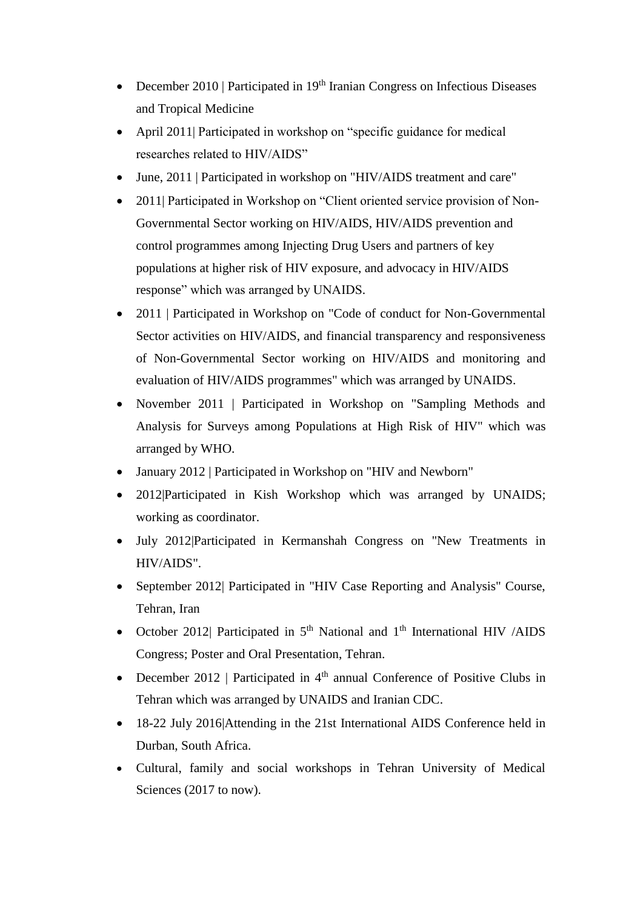- December 2010 | Participated in  $19<sup>th</sup>$  Iranian Congress on Infectious Diseases and Tropical Medicine
- April 2011| Participated in workshop on "specific guidance for medical researches related to HIV/AIDS"
- June, 2011 | Participated in workshop on "HIV/AIDS treatment and care"
- 2011| Participated in Workshop on "Client oriented service provision of Non-Governmental Sector working on HIV/AIDS, HIV/AIDS prevention and control programmes among Injecting Drug Users and partners of key populations at higher risk of HIV exposure, and advocacy in HIV/AIDS response" which was arranged by UNAIDS.
- 2011 | Participated in Workshop on "Code of conduct for Non-Governmental Sector activities on HIV/AIDS, and financial transparency and responsiveness of Non-Governmental Sector working on HIV/AIDS and monitoring and evaluation of HIV/AIDS programmes" which was arranged by UNAIDS.
- November 2011 | Participated in Workshop on "Sampling Methods and Analysis for Surveys among Populations at High Risk of HIV" which was arranged by WHO.
- January 2012 | Participated in Workshop on "HIV and Newborn"
- 2012|Participated in Kish Workshop which was arranged by UNAIDS; working as coordinator.
- July 2012|Participated in Kermanshah Congress on "New Treatments in HIV/AIDS".
- September 2012| Participated in "HIV Case Reporting and Analysis" Course, Tehran, Iran
- October 2012| Participated in  $5<sup>th</sup>$  National and  $1<sup>th</sup>$  International HIV /AIDS Congress; Poster and Oral Presentation, Tehran.
- December 2012 | Participated in  $4<sup>th</sup>$  annual Conference of Positive Clubs in Tehran which was arranged by UNAIDS and Iranian CDC.
- 18-22 July 2016|Attending in the 21st International AIDS Conference held in Durban, South Africa.
- Cultural, family and social workshops in Tehran University of Medical Sciences (2017 to now).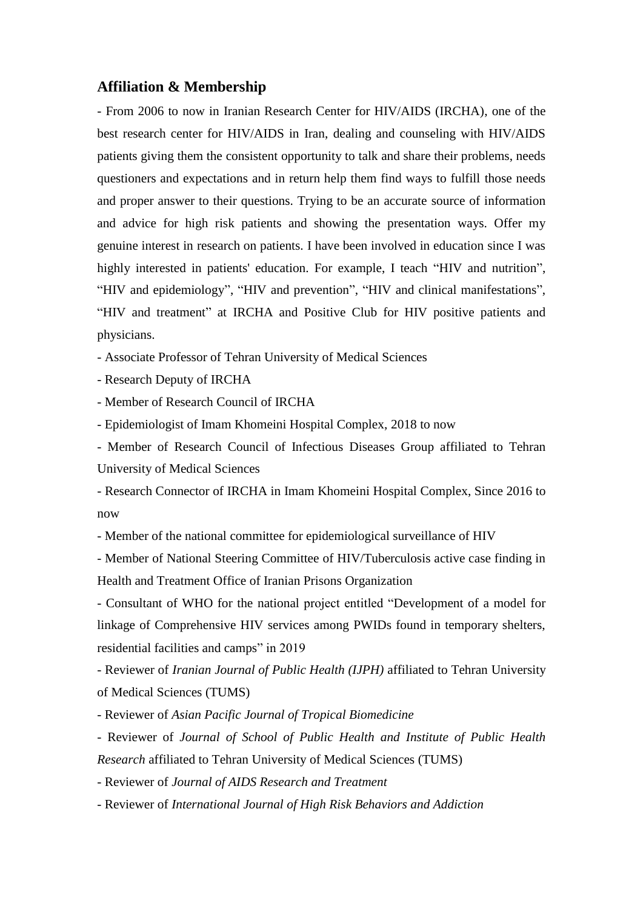#### **Affiliation & Membership**

- From 2006 to now in Iranian Research Center for HIV/AIDS (IRCHA), one of the best research center for HIV/AIDS in Iran, dealing and counseling with HIV/AIDS patients giving them the consistent opportunity to talk and share their problems, needs questioners and expectations and in return help them find ways to fulfill those needs and proper answer to their questions. Trying to be an accurate source of information and advice for high risk patients and showing the presentation ways. Offer my genuine interest in research on patients. I have been involved in education since I was highly interested in patients' education. For example, I teach "HIV and nutrition", "HIV and epidemiology", "HIV and prevention", "HIV and clinical manifestations", "HIV and treatment" at IRCHA and Positive Club for HIV positive patients and physicians.

- Associate Professor of Tehran University of Medical Sciences

- Research Deputy of IRCHA

- Member of Research Council of IRCHA

- Epidemiologist of Imam Khomeini Hospital Complex, 2018 to now

- Member of Research Council of Infectious Diseases Group affiliated to Tehran University of Medical Sciences

- Research Connector of IRCHA in Imam Khomeini Hospital Complex, Since 2016 to now

- Member of the national committee for epidemiological surveillance of HIV

- Member of National Steering Committee of HIV/Tuberculosis active case finding in Health and Treatment Office of Iranian Prisons Organization

- Consultant of WHO for the national project entitled "Development of a model for linkage of Comprehensive HIV services among PWIDs found in temporary shelters, residential facilities and camps" in 2019

- Reviewer of *Iranian Journal of Public Health (IJPH)* affiliated to Tehran University of Medical Sciences (TUMS)

- Reviewer of *Asian Pacific Journal of Tropical Biomedicine*

- Reviewer of *Journal of School of Public Health and Institute of Public Health Research* affiliated to Tehran University of Medical Sciences (TUMS)

- Reviewer of *Journal of AIDS Research and Treatment*

*-* Reviewer of *International Journal of High Risk Behaviors and Addiction*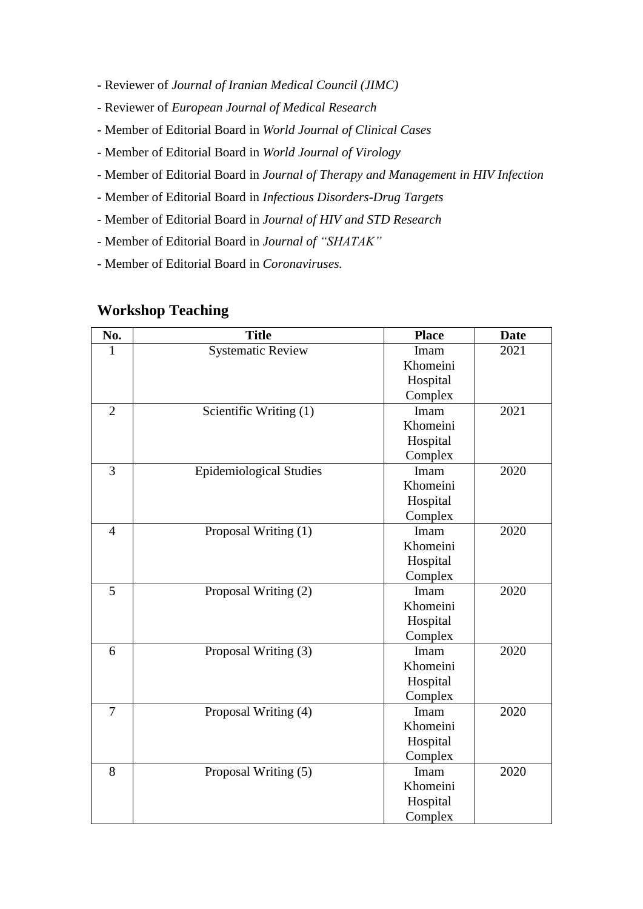- *-* Reviewer of *Journal of Iranian Medical Council (JIMC)*
- *-* Reviewer of *European Journal of Medical Research*
- Member of Editorial Board in *World Journal of Clinical Cases*
- *-* Member of Editorial Board in *World Journal of Virology*
- *-* Member of Editorial Board in *Journal of Therapy and Management in HIV Infection*
- *-* Member of Editorial Board in *Infectious Disorders-Drug Targets*
- *-* Member of Editorial Board in *Journal of HIV and STD Research*
- Member of Editorial Board in *Journal of "SHATAK"*
- *-* Member of Editorial Board in *Coronaviruses.*

# **Workshop Teaching**

| No.            | <b>Title</b>                   | <b>Place</b> | <b>Date</b> |
|----------------|--------------------------------|--------------|-------------|
| 1              | <b>Systematic Review</b>       | Imam         | 2021        |
|                |                                | Khomeini     |             |
|                |                                | Hospital     |             |
|                |                                | Complex      |             |
| $\overline{2}$ | Scientific Writing (1)         | Imam         | 2021        |
|                |                                | Khomeini     |             |
|                |                                | Hospital     |             |
|                |                                | Complex      |             |
| 3              | <b>Epidemiological Studies</b> | Imam         | 2020        |
|                |                                | Khomeini     |             |
|                |                                | Hospital     |             |
|                |                                | Complex      |             |
| $\overline{4}$ | Proposal Writing (1)           | Imam         | 2020        |
|                |                                | Khomeini     |             |
|                |                                | Hospital     |             |
|                |                                | Complex      |             |
| 5              | Proposal Writing (2)           | Imam         | 2020        |
|                |                                | Khomeini     |             |
|                |                                | Hospital     |             |
|                |                                | Complex      |             |
| 6              | Proposal Writing (3)           | Imam         | 2020        |
|                |                                | Khomeini     |             |
|                |                                | Hospital     |             |
|                |                                | Complex      |             |
| $\overline{7}$ | Proposal Writing (4)           | Imam         | 2020        |
|                |                                | Khomeini     |             |
|                |                                | Hospital     |             |
|                |                                | Complex      |             |
| 8              | Proposal Writing (5)           | Imam         | 2020        |
|                |                                | Khomeini     |             |
|                |                                | Hospital     |             |
|                |                                | Complex      |             |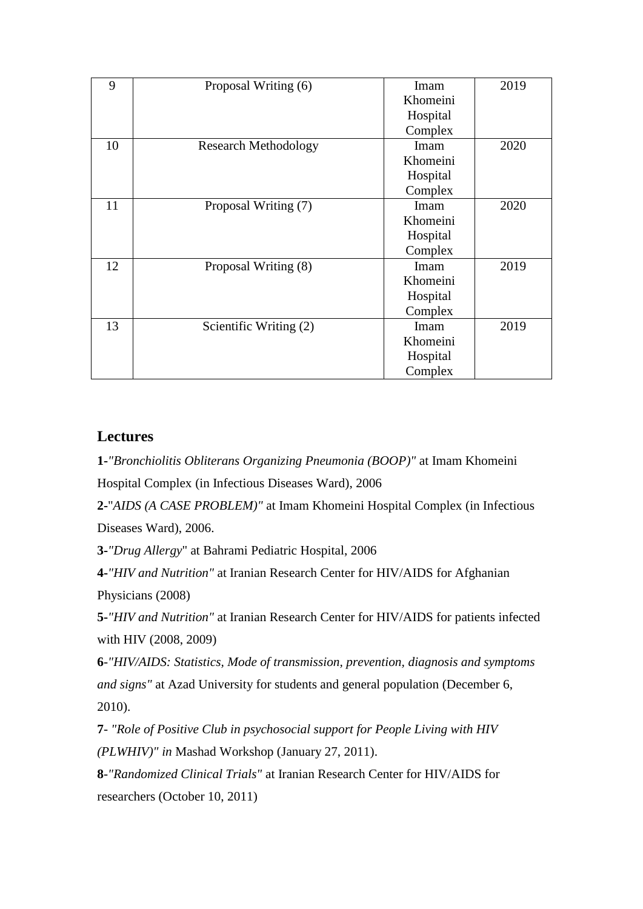| 9  | Proposal Writing (6)        | Imam     | 2019 |
|----|-----------------------------|----------|------|
|    |                             | Khomeini |      |
|    |                             | Hospital |      |
|    |                             | Complex  |      |
| 10 | <b>Research Methodology</b> | Imam     | 2020 |
|    |                             | Khomeini |      |
|    |                             | Hospital |      |
|    |                             | Complex  |      |
| 11 | Proposal Writing (7)        | Imam     | 2020 |
|    |                             | Khomeini |      |
|    |                             | Hospital |      |
|    |                             | Complex  |      |
| 12 | Proposal Writing (8)        | Imam     | 2019 |
|    |                             | Khomeini |      |
|    |                             | Hospital |      |
|    |                             | Complex  |      |
| 13 | Scientific Writing (2)      | Imam     | 2019 |
|    |                             | Khomeini |      |
|    |                             | Hospital |      |
|    |                             | Complex  |      |

### **Lectures**

**1-***"Bronchiolitis Obliterans Organizing Pneumonia (BOOP)"* at Imam Khomeini Hospital Complex (in Infectious Diseases Ward), 2006

**2-**"*AIDS (A CASE PROBLEM)"* at Imam Khomeini Hospital Complex (in Infectious Diseases Ward), 2006.

**3-***"Drug Allergy*" at Bahrami Pediatric Hospital, 2006

**4-***"HIV and Nutrition"* at Iranian Research Center for HIV/AIDS for Afghanian Physicians (2008)

**5-***"HIV and Nutrition"* at Iranian Research Center for HIV/AIDS for patients infected with HIV (2008, 2009)

**6**-*"HIV/AIDS: Statistics, Mode of transmission, prevention, diagnosis and symptoms and signs"* at Azad University for students and general population (December 6, 2010).

**7**- *"Role of Positive Club in psychosocial support for People Living with HIV* 

*(PLWHIV)" in* Mashad Workshop (January 27, 2011).

**8***-"Randomized Clinical Trials"* at Iranian Research Center for HIV/AIDS for researchers (October 10, 2011)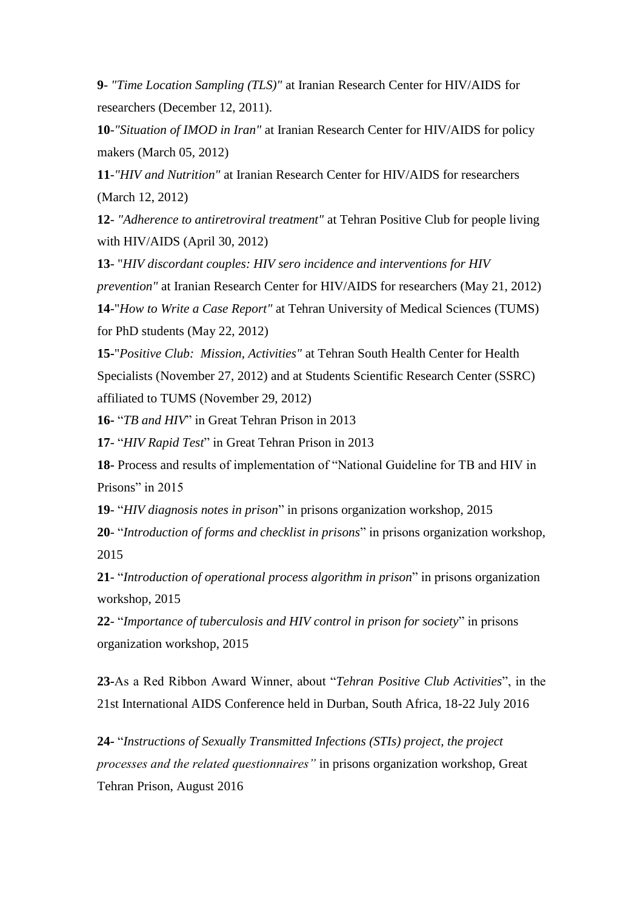**9**- *"Time Location Sampling (TLS)"* at Iranian Research Center for HIV/AIDS for researchers (December 12, 2011).

**10***-"Situation of IMOD in Iran"* at Iranian Research Center for HIV/AIDS for policy makers (March 05, 2012)

**11***-"HIV and Nutrition"* at Iranian Research Center for HIV/AIDS for researchers (March 12, 2012)

**12**- *"Adherence to antiretroviral treatment"* at Tehran Positive Club for people living with HIV/AIDS (April 30, 2012)

**13**- "*HIV discordant couples: HIV sero incidence and interventions for HIV prevention"* at Iranian Research Center for HIV/AIDS for researchers (May 21, 2012) **14**-"*How to Write a Case Report"* at Tehran University of Medical Sciences (TUMS) for PhD students (May 22, 2012)

**15-**"*Positive Club: Mission, Activities"* at Tehran South Health Center for Health Specialists (November 27, 2012) and at Students Scientific Research Center (SSRC) affiliated to TUMS (November 29, 2012)

**16-** "*TB and HIV*" in Great Tehran Prison in 2013

**17**- "*HIV Rapid Test*" in Great Tehran Prison in 2013

**18-** Process and results of implementation of "National Guideline for TB and HIV in Prisons" in 2015

**19**- "*HIV diagnosis notes in prison*" in prisons organization workshop, 2015

**20**- "*Introduction of forms and checklist in prisons*" in prisons organization workshop, 2015

**21**- "*Introduction of operational process algorithm in prison*" in prisons organization workshop, 2015

**22**- "*Importance of tuberculosis and HIV control in prison for society*" in prisons organization workshop, 2015

**23-**As a Red Ribbon Award Winner, about "*Tehran Positive Club Activities*", in the 21st International AIDS Conference held in Durban, South Africa, 18-22 July 2016

**24-** "*Instructions of Sexually Transmitted Infections (STIs) project, the project processes and the related questionnaires"* in prisons organization workshop, Great Tehran Prison, August 2016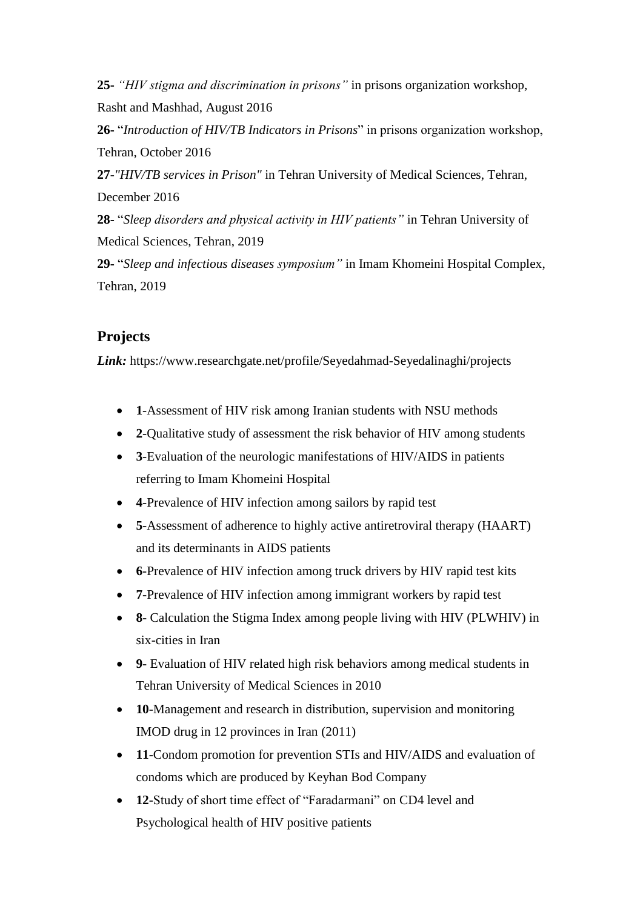**25-** *"HIV stigma and discrimination in prisons"* in prisons organization workshop, Rasht and Mashhad, August 2016

**26-** "*Introduction of HIV/TB Indicators in Prisons*" in prisons organization workshop, Tehran, October 2016

**27***-"HIV/TB services in Prison"* in Tehran University of Medical Sciences, Tehran, December 2016

**28-** "*Sleep disorders and physical activity in HIV patients"* in Tehran University of Medical Sciences, Tehran, 2019

**29-** "*Sleep and infectious diseases symposium"* in Imam Khomeini Hospital Complex, Tehran, 2019

# **Projects**

*Link:* https://www.researchgate.net/profile/Seyedahmad-Seyedalinaghi/projects

- **1**-Assessment of HIV risk among Iranian students with NSU methods
- **2**-Qualitative study of assessment the risk behavior of HIV among students
- **3**-Evaluation of the neurologic manifestations of HIV/AIDS in patients referring to Imam Khomeini Hospital
- **4**-Prevalence of HIV infection among sailors by rapid test
- **5**-Assessment of adherence to highly active antiretroviral therapy (HAART) and its determinants in AIDS patients
- **6**-Prevalence of HIV infection among truck drivers by HIV rapid test kits
- **7**-Prevalence of HIV infection among immigrant workers by rapid test
- **8** Calculation the Stigma Index among people living with HIV (PLWHIV) in six-cities in Iran
- **9** Evaluation of HIV related high risk behaviors among medical students in Tehran University of Medical Sciences in 2010
- **10**-Management and research in distribution, supervision and monitoring IMOD drug in 12 provinces in Iran (2011)
- **11**-Condom promotion for prevention STIs and HIV/AIDS and evaluation of condoms which are produced by Keyhan Bod Company
- **12**-Study of short time effect of "Faradarmani" on CD4 level and Psychological health of HIV positive patients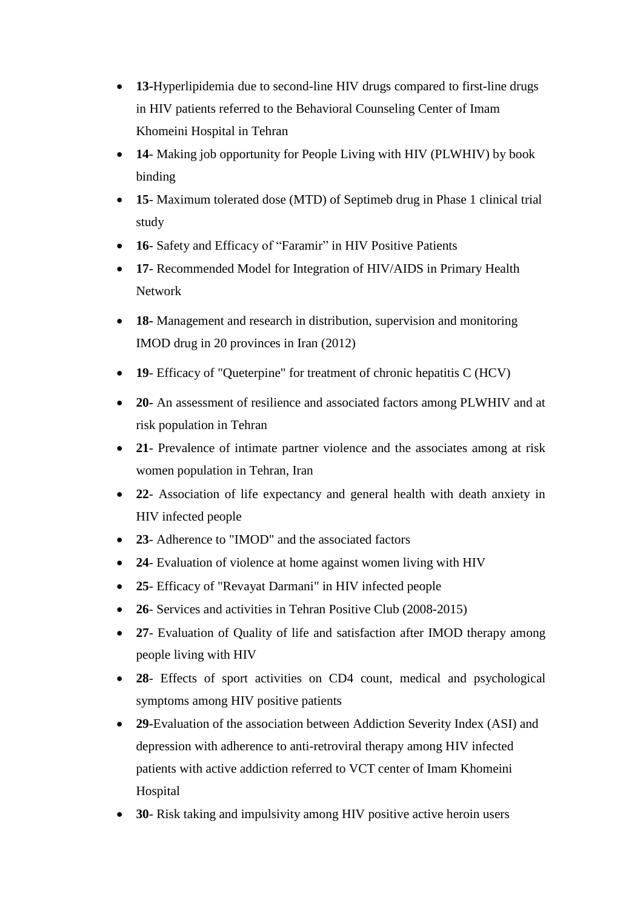- **13-**Hyperlipidemia due to second-line HIV drugs compared to first-line drugs in HIV patients referred to the Behavioral Counseling Center of Imam Khomeini Hospital in Tehran
- **14** Making job opportunity for People Living with HIV (PLWHIV) by book binding
- **15** Maximum tolerated dose (MTD) of Septimeb drug in Phase 1 clinical trial study
- **16** Safety and Efficacy of "Faramir" in HIV Positive Patients
- **17** Recommended Model for Integration of HIV/AIDS in Primary Health Network
- **18-** Management and research in distribution, supervision and monitoring IMOD drug in 20 provinces in Iran (2012)
- **19** Efficacy of "Queterpine" for treatment of chronic hepatitis C (HCV)
- **20-** An assessment of resilience and associated factors among PLWHIV and at risk population in Tehran
- **21** Prevalence of intimate partner violence and the associates among at risk women population in Tehran, Iran
- **22** Association of life expectancy and general health with death anxiety in HIV infected people
- **23** Adherence to "IMOD" and the associated factors
- **24** Evaluation of violence at home against women living with HIV
- **25** Efficacy of "Revayat Darmani" in HIV infected people
- **26** Services and activities in Tehran Positive Club (2008-2015)
- **27** Evaluation of Quality of life and satisfaction after IMOD therapy among people living with HIV
- **28** Effects of sport activities on CD4 count, [medical and psychological](http://www.ncbi.nlm.nih.gov/pubmed/22753635)  [symptoms among HIV positive patients](http://www.ncbi.nlm.nih.gov/pubmed/22753635)
- **29-**Evaluation of the association between Addiction Severity Index (ASI) and depression with adherence to anti-retroviral therapy among HIV infected patients with active addiction referred to VCT center of Imam Khomeini Hospital
- **30** Risk taking and impulsivity among HIV positive active heroin users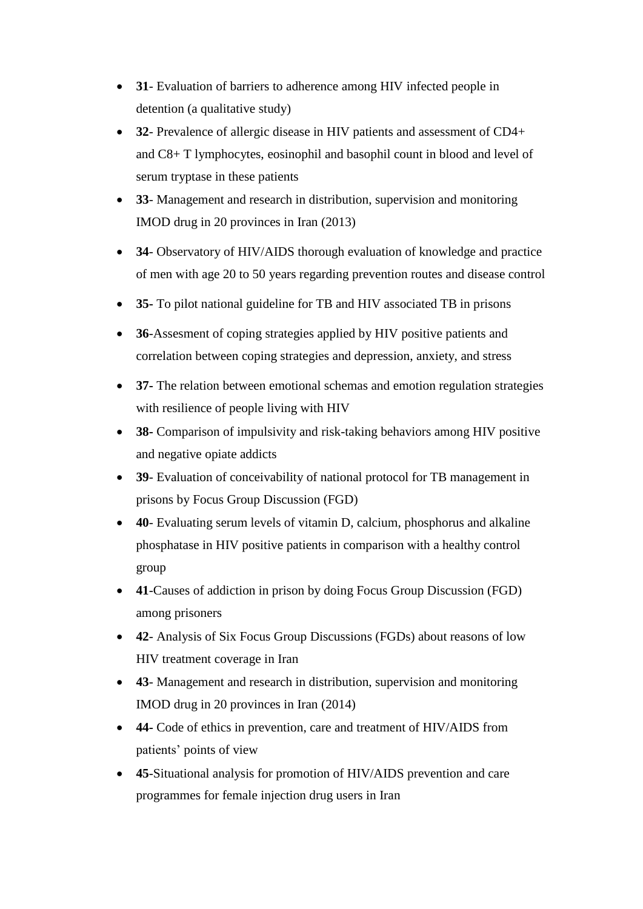- **31** Evaluation of barriers to adherence among HIV infected people in detention (a qualitative study)
- **32** Prevalence of allergic disease in HIV patients and assessment of CD4+ and C8+ T lymphocytes, eosinophil and basophil count in blood and level of serum tryptase in these patients
- **33** Management and research in distribution, supervision and monitoring IMOD drug in 20 provinces in Iran (2013)
- **34** Observatory of HIV/AIDS thorough evaluation of knowledge and practice of men with age 20 to 50 years regarding prevention routes and disease control
- **35-** To pilot national guideline for TB and HIV associated TB in prisons
- **36**-Assesment of coping strategies applied by HIV positive patients and correlation between coping strategies and depression, anxiety, and stress
- **37-** The relation between emotional schemas and emotion regulation strategies with resilience of people living with HIV
- **38-** Comparison of impulsivity and risk-taking behaviors among HIV positive and negative opiate addicts
- **39** Evaluation of conceivability of national protocol for TB management in prisons by Focus Group Discussion (FGD)
- **40** Evaluating serum levels of vitamin D, calcium, phosphorus and alkaline phosphatase in HIV positive patients in comparison with a healthy control group
- **41**-Causes of addiction in prison by doing Focus Group Discussion (FGD) among prisoners
- **42** Analysis of Six Focus Group Discussions (FGDs) about reasons of low HIV treatment coverage in Iran
- **43** Management and research in distribution, supervision and monitoring IMOD drug in 20 provinces in Iran (2014)
- **44-** Code of ethics in prevention, care and treatment of HIV/AIDS from patients' points of view
- **45**-Situational analysis for promotion of HIV/AIDS prevention and care programmes for female injection drug users in Iran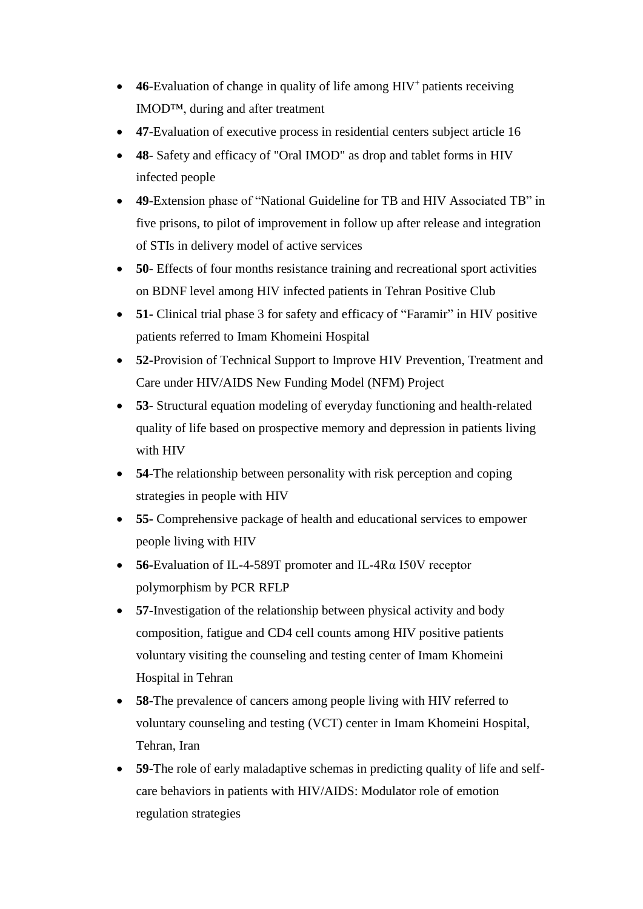- 46-Evaluation of change in quality of life among HIV<sup>+</sup> patients receiving IMOD™, during and after treatment
- **47**-Evaluation of executive process in residential centers subject article 16
- **48** Safety and efficacy of "Oral IMOD" as drop and tablet forms in HIV infected people
- **49**-Extension phase of "National Guideline for TB and HIV Associated TB" in five prisons, to pilot of improvement in follow up after release and integration of STIs in delivery model of active services
- **50** Effects of four months resistance training and recreational sport activities on BDNF level among HIV infected patients in Tehran Positive Club
- **51-** Clinical trial phase 3 for safety and efficacy of "Faramir" in HIV positive patients referred to Imam Khomeini Hospital
- **52-**Provision of Technical Support to Improve HIV Prevention, Treatment and Care under HIV/AIDS New Funding Model (NFM) Project
- **53** Structural equation modeling of everyday functioning and health-related quality of life based on prospective memory and depression in patients living with HIV
- **54**-The relationship between personality with risk perception and coping strategies in people with HIV
- **55-** Comprehensive package of health and educational services to empower people living with HIV
- **56-**Evaluation of IL-4-589T promoter and IL-4Rα I50V receptor polymorphism by PCR RFLP
- **57-**Investigation of the relationship between physical activity and body composition, fatigue and CD4 cell counts among HIV positive patients voluntary visiting the counseling and testing center of Imam Khomeini Hospital in Tehran
- **58-**The prevalence of cancers among people living with HIV referred to voluntary counseling and testing (VCT) center in Imam Khomeini Hospital, Tehran, Iran
- **59-**The role of early maladaptive schemas in predicting quality of life and selfcare behaviors in patients with HIV/AIDS: Modulator role of emotion regulation strategies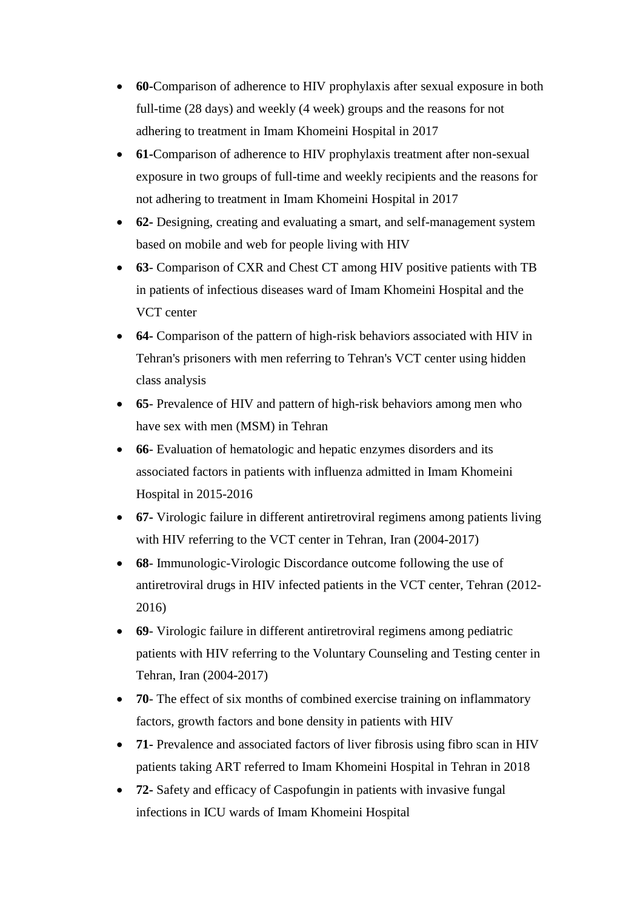- **60-**Comparison of adherence to HIV prophylaxis after sexual exposure in both full-time (28 days) and weekly (4 week) groups and the reasons for not adhering to treatment in Imam Khomeini Hospital in 2017
- **61-**Comparison of adherence to HIV prophylaxis treatment after non-sexual exposure in two groups of full-time and weekly recipients and the reasons for not adhering to treatment in Imam Khomeini Hospital in 2017
- **62-** Designing, creating and evaluating a smart, and self-management system based on mobile and web for people living with HIV
- **63** Comparison of CXR and Chest CT among HIV positive patients with TB in patients of infectious diseases ward of Imam Khomeini Hospital and the VCT center
- **64-** Comparison of the pattern of high-risk behaviors associated with HIV in Tehran's prisoners with men referring to Tehran's VCT center using hidden class analysis
- **65** Prevalence of HIV and pattern of high-risk behaviors among men who have sex with men (MSM) in Tehran
- **66** Evaluation of hematologic and hepatic enzymes disorders and its associated factors in patients with influenza admitted in Imam Khomeini Hospital in 2015-2016
- **67-** Virologic failure in different antiretroviral regimens among patients living with HIV referring to the VCT center in Tehran, Iran (2004-2017)
- **68** Immunologic-Virologic Discordance outcome following the use of antiretroviral drugs in HIV infected patients in the VCT center, Tehran (2012- 2016)
- **69** Virologic failure in different antiretroviral regimens among pediatric patients with HIV referring to the Voluntary Counseling and Testing center in Tehran, Iran (2004-2017)
- **70** The effect of six months of combined exercise training on inflammatory factors, growth factors and bone density in patients with HIV
- **71-** Prevalence and associated factors of liver fibrosis using fibro scan in HIV patients taking ART referred to Imam Khomeini Hospital in Tehran in 2018
- **72-** Safety and efficacy of Caspofungin in patients with invasive fungal infections in ICU wards of Imam Khomeini Hospital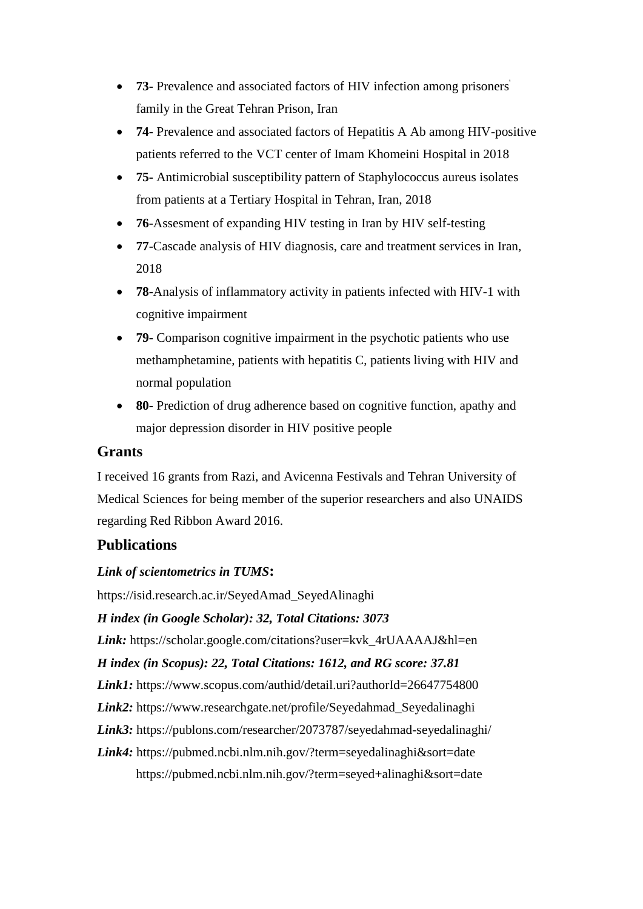- **73-** Prevalence and associated factors of HIV infection among prisoners' family in the Great Tehran Prison, Iran
- **74-** Prevalence and associated factors of Hepatitis A Ab among HIV-positive patients referred to the VCT center of Imam Khomeini Hospital in 2018
- **75-** Antimicrobial susceptibility pattern of Staphylococcus aureus isolates from patients at a Tertiary Hospital in Tehran, Iran, 2018
- **76**-Assesment of expanding HIV testing in Iran by HIV self-testing
- **77**-Cascade analysis of HIV diagnosis, care and treatment services in Iran, 2018
- **78-**Analysis of inflammatory activity in patients infected with HIV-1 with cognitive impairment
- **79-** Comparison cognitive impairment in the psychotic patients who use methamphetamine, patients with hepatitis C, patients living with HIV and normal population
- **80-** Prediction of drug adherence based on cognitive function, apathy and major depression disorder in HIV positive people

# **Grants**

I received 16 grants from Razi, and Avicenna Festivals and Tehran University of Medical Sciences for being member of the superior researchers and also UNAIDS regarding Red Ribbon Award 2016.

# **Publications**

### *Link of scientometrics in TUMS***:**

https://isid.research.ac.ir/SeyedAmad\_SeyedAlinaghi *H index (in Google Scholar): 32, Total Citations: 3073* Link: [https://scholar.google.com/citations?user=kvk\\_4rUAAAAJ&hl=en](https://scholar.google.com/citations?user=kvk_4rUAAAAJ&hl=en) *H index (in Scopus): 22, Total Citations: 1612, and RG score: 37.81 Link1:* https://www.scopus.com/authid/detail.uri?authorId=26647754800 *Link2:* [https://www.researchgate.net/profile/Seyedahmad\\_Seyedalinaghi](https://www.researchgate.net/profile/Seyedahmad_Seyedalinaghi) *Link3:* <https://publons.com/researcher/2073787/seyedahmad-seyedalinaghi/> *Link4:* https://pubmed.ncbi.nlm.nih.gov/?term=seyedalinaghi&sort=date <https://pubmed.ncbi.nlm.nih.gov/?term=seyed+alinaghi&sort=date>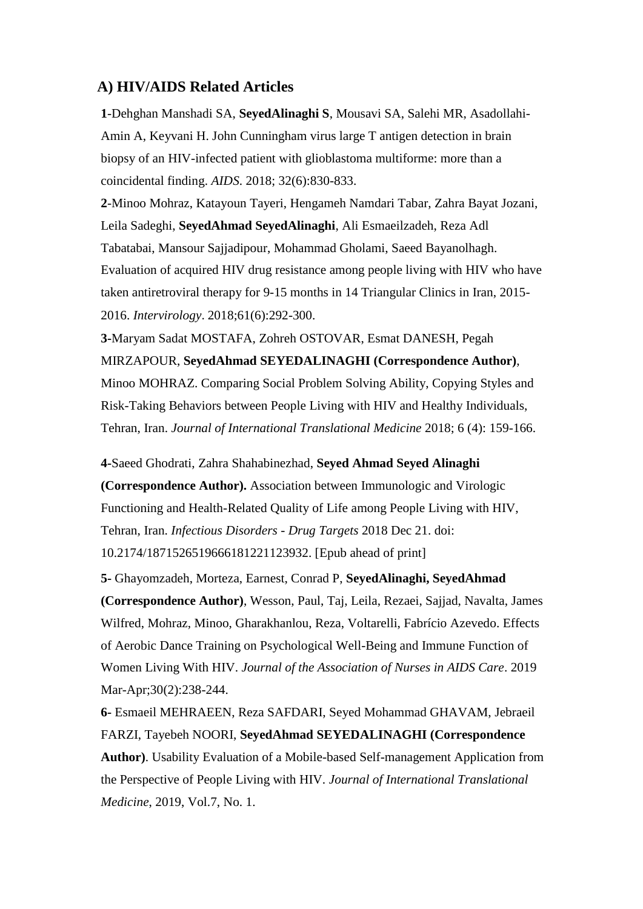### **A) HIV/AIDS Related Articles**

**1**-Dehghan Manshadi SA, **SeyedAlinaghi S**, Mousavi SA, Salehi MR, Asadollahi-Amin A, Keyvani H. John Cunningham virus large T antigen detection in brain biopsy of an HIV-infected patient with glioblastoma multiforme: more than a coincidental finding. *AIDS*. 2018; 32(6):830-833.

**2**-Minoo Mohraz, Katayoun Tayeri, Hengameh Namdari Tabar, Zahra Bayat Jozani, Leila Sadeghi, **SeyedAhmad SeyedAlinaghi**, Ali Esmaeilzadeh, Reza Adl Tabatabai, Mansour Sajjadipour, Mohammad Gholami, Saeed Bayanolhagh. Evaluation of acquired HIV drug resistance among people living with HIV who have taken antiretroviral therapy for 9-15 months in 14 Triangular Clinics in Iran, 2015- 2016. *Intervirology*. 2018;61(6):292-300.

**3-**Maryam Sadat MOSTAFA, Zohreh OSTOVAR, Esmat DANESH, Pegah MIRZAPOUR, **SeyedAhmad SEYEDALINAGHI (Correspondence Author)**, Minoo MOHRAZ. Comparing Social Problem Solving Ability, Copying Styles and Risk-Taking Behaviors between People Living with HIV and Healthy Individuals, Tehran, Iran. *Journal of International Translational Medicine* 2018; 6 (4): 159-166.

**4-**[Saeed Ghodrati,](javascript:ShowAffiliation() [Zahra Shahabinezhad,](javascript:ShowAffiliation() **[Seyed Ahmad Seyed Alinaghi](javascript:ShowAffiliation() [\(Correspondence Author\).](javascript:ShowAffiliation()** Association between Immunologic and Virologic [Functioning and Health-Related Quality of Life among](javascript:ShowAffiliation() People Living with HIV, Tehran, Iran. *[Infectious Disorders -](javascript:ShowAffiliation() Drug Targets* 2018 Dec 21. doi: [10.2174/1871526519666181221123932. \[Epub ahead of print\]](javascript:ShowAffiliation()

**5-** Ghayomzadeh, Morteza, Earnest, Conrad P, **SeyedAlinaghi, SeyedAhmad (Correspondence Author)**, Wesson, Paul, Taj, Leila, Rezaei, Sajjad, Navalta, James Wilfred, Mohraz, Minoo, Gharakhanlou, Reza, Voltarelli, Fabrício Azevedo. Effects of Aerobic Dance Training on Psychological Well-Being and Immune Function of Women Living With HIV. *Journal of the Association of Nurses in AIDS Care*. 2019 Mar-Apr;30(2):238-244.

**6-** Esmaeil MEHRAEEN, Reza SAFDARI, Seyed Mohammad GHAVAM, Jebraeil FARZI, Tayebeh NOORI, **SeyedAhmad SEYEDALINAGHI (Correspondence Author)**. Usability Evaluation of a Mobile-based Self-management Application from the Perspective of People Living with HIV. *Journal of International Translational Medicine*, 2019, Vol.7, No. 1.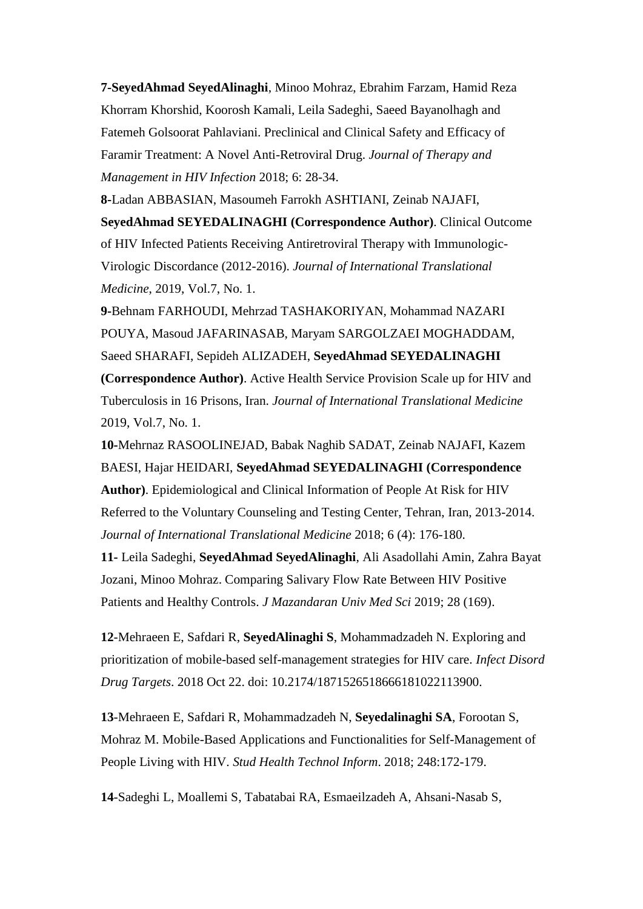**7-SeyedAhmad SeyedAlinaghi**, Minoo Mohraz, Ebrahim Farzam, Hamid Reza Khorram Khorshid, Koorosh Kamali, Leila Sadeghi, Saeed Bayanolhagh and Fatemeh Golsoorat Pahlaviani. Preclinical and Clinical Safety and Efficacy of Faramir Treatment: A Novel Anti-Retroviral Drug. *Journal of Therapy and Management in HIV Infection* 2018; 6: 28-34.

**8-**Ladan ABBASIAN, Masoumeh Farrokh ASHTIANI, Zeinab NAJAFI,

**SeyedAhmad SEYEDALINAGHI (Correspondence Author)**. Clinical Outcome of HIV Infected Patients Receiving Antiretroviral Therapy with Immunologic-Virologic Discordance (2012-2016). *Journal of International Translational Medicine*, 2019, Vol.7, No. 1.

**9-**Behnam FARHOUDI, Mehrzad TASHAKORIYAN, Mohammad NAZARI POUYA, Masoud JAFARINASAB, Maryam SARGOLZAEI MOGHADDAM, Saeed SHARAFI, Sepideh ALIZADEH, **SeyedAhmad SEYEDALINAGHI (Correspondence Author)**. Active Health Service Provision Scale up for HIV and Tuberculosis in 16 Prisons, Iran. *Journal of International Translational Medicine* 2019, Vol.7, No. 1.

**10-**Mehrnaz RASOOLINEJAD, Babak Naghib SADAT, Zeinab NAJAFI, Kazem BAESI, Hajar HEIDARI, **SeyedAhmad SEYEDALINAGHI (Correspondence Author)**. Epidemiological and Clinical Information of People At Risk for HIV Referred to the Voluntary Counseling and Testing Center, Tehran, Iran, 2013-2014. *Journal of International Translational Medicine* 2018; 6 (4): 176-180.

**11-** Leila Sadeghi, **SeyedAhmad SeyedAlinaghi**, Ali Asadollahi Amin, Zahra Bayat Jozani, Minoo Mohraz. Comparing Salivary Flow Rate Between HIV Positive Patients and Healthy Controls. *J Mazandaran Univ Med Sci* 2019; 28 (169).

**12**[-Mehraeen E,](https://www.ncbi.nlm.nih.gov/pubmed/?term=Mehraeen%20E%5BAuthor%5D&cauthor=true&cauthor_uid=30345930) [Safdari R,](https://www.ncbi.nlm.nih.gov/pubmed/?term=Safdari%20R%5BAuthor%5D&cauthor=true&cauthor_uid=30345930) **[SeyedAlinaghi S](https://www.ncbi.nlm.nih.gov/pubmed/?term=SeyedAlinaghi%20S%5BAuthor%5D&cauthor=true&cauthor_uid=30345930)**, [Mohammadzadeh N.](https://www.ncbi.nlm.nih.gov/pubmed/?term=Mohammadzadeh%20N%5BAuthor%5D&cauthor=true&cauthor_uid=30345930) Exploring and prioritization of mobile-based self-management strategies for HIV care. *[Infect Disord](https://www.ncbi.nlm.nih.gov/pubmed/30345930)  [Drug Targets](https://www.ncbi.nlm.nih.gov/pubmed/30345930)*. 2018 Oct 22. doi: 10.2174/1871526518666181022113900.

**13**[-Mehraeen E,](https://www.ncbi.nlm.nih.gov/pubmed/?term=Mehraeen%20E%5BAuthor%5D&cauthor=true&cauthor_uid=29726434) [Safdari R,](https://www.ncbi.nlm.nih.gov/pubmed/?term=Safdari%20R%5BAuthor%5D&cauthor=true&cauthor_uid=29726434) [Mohammadzadeh N,](https://www.ncbi.nlm.nih.gov/pubmed/?term=Mohammadzadeh%20N%5BAuthor%5D&cauthor=true&cauthor_uid=29726434) **[Seyedalinaghi SA](https://www.ncbi.nlm.nih.gov/pubmed/?term=Seyedalinaghi%20SA%5BAuthor%5D&cauthor=true&cauthor_uid=29726434)**, [Forootan S,](https://www.ncbi.nlm.nih.gov/pubmed/?term=Forootan%20S%5BAuthor%5D&cauthor=true&cauthor_uid=29726434) [Mohraz M.](https://www.ncbi.nlm.nih.gov/pubmed/?term=Mohraz%20M%5BAuthor%5D&cauthor=true&cauthor_uid=29726434) Mobile-Based Applications and Functionalities for Self-Management of People Living with HIV. *[Stud Health Technol Inform](https://www.ncbi.nlm.nih.gov/pubmed/29726434)*. 2018; 248:172-179.

**14**[-Sadeghi L,](https://www.ncbi.nlm.nih.gov/pubmed/?term=Sadeghi%20L%5BAuthor%5D&cauthor=true&cauthor_uid=29308748) [Moallemi S,](https://www.ncbi.nlm.nih.gov/pubmed/?term=Moallemi%20S%5BAuthor%5D&cauthor=true&cauthor_uid=29308748) [Tabatabai RA,](https://www.ncbi.nlm.nih.gov/pubmed/?term=Tabatabai%20RA%5BAuthor%5D&cauthor=true&cauthor_uid=29308748) [Esmaeilzadeh A,](https://www.ncbi.nlm.nih.gov/pubmed/?term=Esmaeilzadeh%20A%5BAuthor%5D&cauthor=true&cauthor_uid=29308748) [Ahsani-Nasab S,](https://www.ncbi.nlm.nih.gov/pubmed/?term=Ahsani-Nasab%20S%5BAuthor%5D&cauthor=true&cauthor_uid=29308748)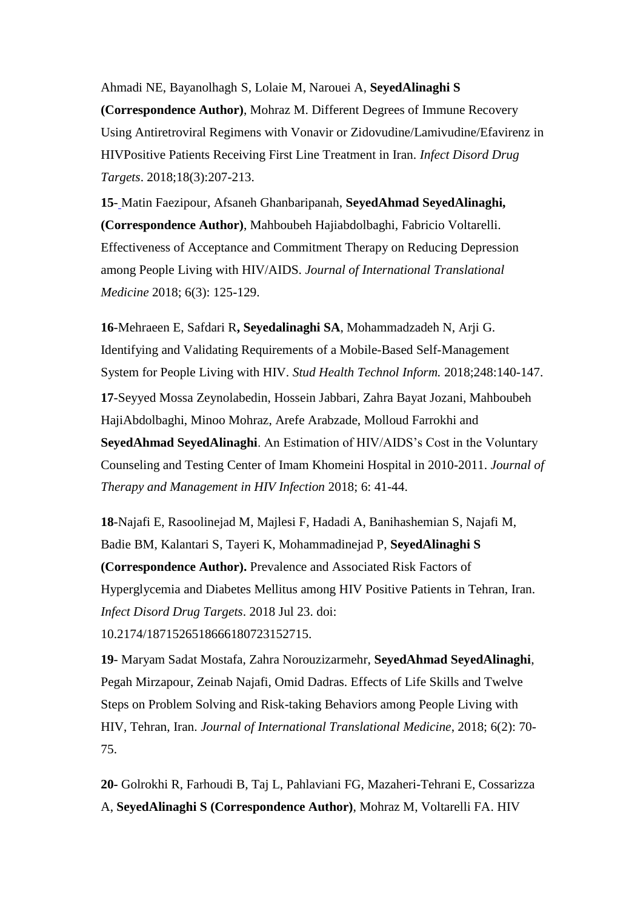[Ahmadi NE,](https://www.ncbi.nlm.nih.gov/pubmed/?term=Ahmadi%20NE%5BAuthor%5D&cauthor=true&cauthor_uid=29308748) [Bayanolhagh S,](https://www.ncbi.nlm.nih.gov/pubmed/?term=Bayanolhagh%20S%5BAuthor%5D&cauthor=true&cauthor_uid=29308748) [Lolaie M,](https://www.ncbi.nlm.nih.gov/pubmed/?term=Lolaie%20M%5BAuthor%5D&cauthor=true&cauthor_uid=29308748) [Narouei A,](https://www.ncbi.nlm.nih.gov/pubmed/?term=Narouei%20A%5BAuthor%5D&cauthor=true&cauthor_uid=29308748) **[SeyedAlinaghi S](https://www.ncbi.nlm.nih.gov/pubmed/?term=SeyedAlinaghi%20S%5BAuthor%5D&cauthor=true&cauthor_uid=29308748) (Correspondence Author)**, [Mohraz M.](https://www.ncbi.nlm.nih.gov/pubmed/?term=Mohraz%20M%5BAuthor%5D&cauthor=true&cauthor_uid=29308748) Different Degrees of Immune Recovery Using Antiretroviral Regimens with Vonavir or Zidovudine/Lamivudine/Efavirenz in HIVPositive Patients Receiving First Line Treatment in Iran. *[Infect Disord Drug](https://www.ncbi.nlm.nih.gov/pubmed/29308748)  [Targets](https://www.ncbi.nlm.nih.gov/pubmed/29308748)*. 2018;18(3):207-213.

**15**- Matin Faezipour, Afsaneh Ghanbaripanah, **SeyedAhmad SeyedAlinaghi, (Correspondence Author)**, Mahboubeh Hajiabdolbaghi, Fabricio Voltarelli. Effectiveness of Acceptance and Commitment Therapy on Reducing Depression among People Living with HIV/AIDS. *Journal of International Translational Medicine* 2018; 6(3): 125-129.

**16**[-Mehraeen E,](https://www.ncbi.nlm.nih.gov/pubmed/?term=Mehraeen%20E%5BAuthor%5D&cauthor=true&cauthor_uid=29726430) [Safdari R](https://www.ncbi.nlm.nih.gov/pubmed/?term=Safdari%20R%5BAuthor%5D&cauthor=true&cauthor_uid=29726430)**, [Seyedalinaghi SA](https://www.ncbi.nlm.nih.gov/pubmed/?term=Seyedalinaghi%20SA%5BAuthor%5D&cauthor=true&cauthor_uid=29726430)**, [Mohammadzadeh N,](https://www.ncbi.nlm.nih.gov/pubmed/?term=Mohammadzadeh%20N%5BAuthor%5D&cauthor=true&cauthor_uid=29726430) [Arji G.](https://www.ncbi.nlm.nih.gov/pubmed/?term=Arji%20G%5BAuthor%5D&cauthor=true&cauthor_uid=29726430) Identifying and Validating Requirements of a Mobile-Based Self-Management System for People Living with HIV. *[Stud Health Technol Inform.](https://www.ncbi.nlm.nih.gov/pubmed/29726430)* 2018;248:140-147. **17**-Seyyed Mossa Zeynolabedin, Hossein Jabbari, Zahra Bayat Jozani, Mahboubeh HajiAbdolbaghi, Minoo Mohraz, Arefe Arabzade, Molloud Farrokhi and **SeyedAhmad SeyedAlinaghi**. An Estimation of HIV/AIDS's Cost in the Voluntary Counseling and Testing Center of Imam Khomeini Hospital in 2010-2011. *Journal of Therapy and Management in HIV Infection* 2018; 6: 41-44.

**18**[-Najafi E,](https://www.ncbi.nlm.nih.gov/pubmed/?term=Najafi%20E%5BAuthor%5D&cauthor=true&cauthor_uid=30039766) [Rasoolinejad M,](https://www.ncbi.nlm.nih.gov/pubmed/?term=Rasoolinejad%20M%5BAuthor%5D&cauthor=true&cauthor_uid=30039766) [Majlesi F,](https://www.ncbi.nlm.nih.gov/pubmed/?term=Majlesi%20F%5BAuthor%5D&cauthor=true&cauthor_uid=30039766) [Hadadi A,](https://www.ncbi.nlm.nih.gov/pubmed/?term=Hadadi%20A%5BAuthor%5D&cauthor=true&cauthor_uid=30039766) [Banihashemian S,](https://www.ncbi.nlm.nih.gov/pubmed/?term=Banihashemian%20S%5BAuthor%5D&cauthor=true&cauthor_uid=30039766) [Najafi M,](https://www.ncbi.nlm.nih.gov/pubmed/?term=Najafi%20M%5BAuthor%5D&cauthor=true&cauthor_uid=30039766) [Badie BM,](https://www.ncbi.nlm.nih.gov/pubmed/?term=Badie%20BM%5BAuthor%5D&cauthor=true&cauthor_uid=30039766) [Kalantari S,](https://www.ncbi.nlm.nih.gov/pubmed/?term=Kalantari%20S%5BAuthor%5D&cauthor=true&cauthor_uid=30039766) [Tayeri K,](https://www.ncbi.nlm.nih.gov/pubmed/?term=Tayeri%20K%5BAuthor%5D&cauthor=true&cauthor_uid=30039766) [Mohammadinejad P,](https://www.ncbi.nlm.nih.gov/pubmed/?term=Mohammadinejad%20P%5BAuthor%5D&cauthor=true&cauthor_uid=30039766) **[SeyedAlinaghi S](https://www.ncbi.nlm.nih.gov/pubmed/?term=SeyedAlinaghi%20S%5BAuthor%5D&cauthor=true&cauthor_uid=30039766) (Correspondence Author).** Prevalence and Associated Risk Factors of Hyperglycemia and Diabetes Mellitus among HIV Positive Patients in Tehran, Iran. *[Infect Disord Drug Targets](https://www.ncbi.nlm.nih.gov/pubmed/30039766)*. 2018 Jul 23. doi: 10.2174/1871526518666180723152715.

**19**- Maryam Sadat Mostafa, Zahra Norouzizarmehr, **SeyedAhmad SeyedAlinaghi**, Pegah Mirzapour, Zeinab Najafi, Omid Dadras. Effects of Life Skills and Twelve Steps on Problem Solving and Risk-taking Behaviors among People Living with HIV, Tehran, Iran. *Journal of International Translational Medicine*, 2018; 6(2): 70- 75.

**20-** [Golrokhi R,](https://www.ncbi.nlm.nih.gov/pubmed/?term=Golrokhi%20R%5BAuthor%5D&cauthor=true&cauthor_uid=30369993) [Farhoudi B,](https://www.ncbi.nlm.nih.gov/pubmed/?term=Farhoudi%20B%5BAuthor%5D&cauthor=true&cauthor_uid=30369993) [Taj L,](https://www.ncbi.nlm.nih.gov/pubmed/?term=Taj%20L%5BAuthor%5D&cauthor=true&cauthor_uid=30369993) [Pahlaviani FG,](https://www.ncbi.nlm.nih.gov/pubmed/?term=Pahlaviani%20FG%5BAuthor%5D&cauthor=true&cauthor_uid=30369993) [Mazaheri-Tehrani E,](https://www.ncbi.nlm.nih.gov/pubmed/?term=Mazaheri-Tehrani%20E%5BAuthor%5D&cauthor=true&cauthor_uid=30369993) [Cossarizza](https://www.ncbi.nlm.nih.gov/pubmed/?term=Cossarizza%20A%5BAuthor%5D&cauthor=true&cauthor_uid=30369993)  [A,](https://www.ncbi.nlm.nih.gov/pubmed/?term=Cossarizza%20A%5BAuthor%5D&cauthor=true&cauthor_uid=30369993) **[SeyedAlinaghi S](https://www.ncbi.nlm.nih.gov/pubmed/?term=SeyedAlinaghi%20S%5BAuthor%5D&cauthor=true&cauthor_uid=30369993) (Correspondence Author)**, [Mohraz M,](https://www.ncbi.nlm.nih.gov/pubmed/?term=Mohraz%20M%5BAuthor%5D&cauthor=true&cauthor_uid=30369993) [Voltarelli FA.](https://www.ncbi.nlm.nih.gov/pubmed/?term=Voltarelli%20FA%5BAuthor%5D&cauthor=true&cauthor_uid=30369993) HIV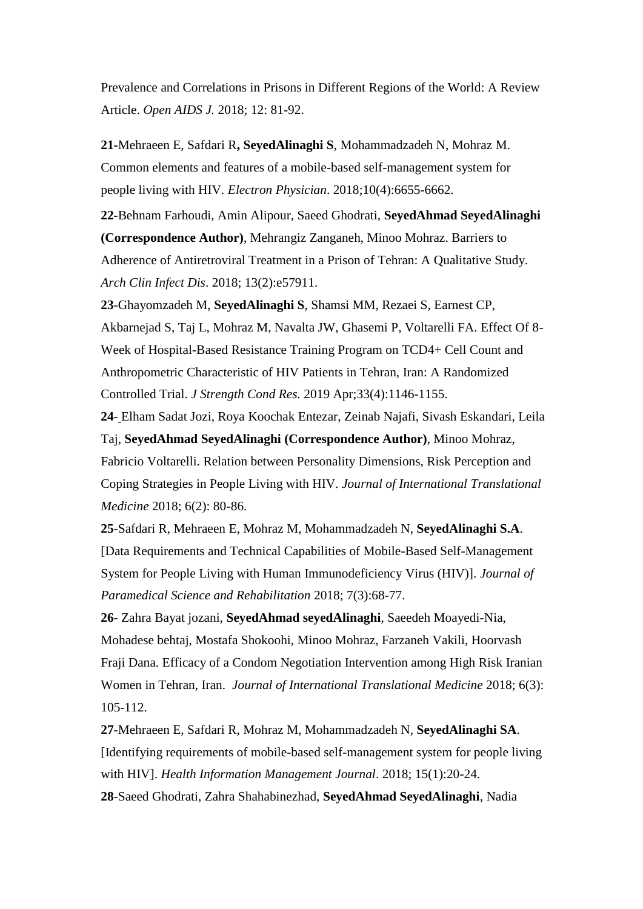Prevalence and Correlations in Prisons in Different Regions of the World: A Review Article. *[Open AIDS J.](https://www.ncbi.nlm.nih.gov/pubmed/30369993)* 2018; 12: 81-92.

**21-**[Mehraeen E,](https://www.ncbi.nlm.nih.gov/pubmed/?term=Mehraeen%20E%5BAuthor%5D&cauthor=true&cauthor_uid=29881528) [Safdari R](https://www.ncbi.nlm.nih.gov/pubmed/?term=Safdari%20R%5BAuthor%5D&cauthor=true&cauthor_uid=29881528)**, [SeyedAlinaghi S](https://www.ncbi.nlm.nih.gov/pubmed/?term=SeyedAlinaghi%20S%5BAuthor%5D&cauthor=true&cauthor_uid=29881528)**, [Mohammadzadeh N,](https://www.ncbi.nlm.nih.gov/pubmed/?term=Mohammadzadeh%20N%5BAuthor%5D&cauthor=true&cauthor_uid=29881528) [Mohraz M.](https://www.ncbi.nlm.nih.gov/pubmed/?term=Mohraz%20M%5BAuthor%5D&cauthor=true&cauthor_uid=29881528) Common elements and features of a mobile-based self-management system for people living with HIV. *[Electron Physician](https://www.ncbi.nlm.nih.gov/pubmed/29881528)*. 2018;10(4):6655-6662.

**22-**Behnam Farhoudi, Amin Alipour, Saeed Ghodrati, **SeyedAhmad SeyedAlinaghi (Correspondence Author)**, Mehrangiz Zanganeh, Minoo Mohraz. Barriers to Adherence of Antiretroviral Treatment in a Prison of Tehran: A Qualitative Study. *Arch Clin Infect Dis*. 2018; 13(2):e57911.

**23**-Ghayomzadeh M, **SeyedAlinaghi S**, Shamsi MM, Rezaei S, Earnest CP, Akbarnejad S, Taj L, Mohraz M, Navalta JW, Ghasemi P, Voltarelli FA. Effect Of 8- Week of Hospital-Based Resistance Training Program on TCD4+ Cell Count and Anthropometric Characteristic of HIV Patients in Tehran, Iran: A Randomized Controlled Trial. *J Strength Cond Res.* 2019 Apr;33(4):1146-1155.

**24**- Elham Sadat Jozi, Roya Koochak Entezar, Zeinab Najafi, Sivash Eskandari, Leila Taj, **SeyedAhmad SeyedAlinaghi (Correspondence Author)**, Minoo Mohraz, Fabricio Voltarelli. Relation between Personality Dimensions, Risk Perception and Coping Strategies in People Living with HIV. *Journal of International Translational Medicine* 2018; 6(2): 80-86.

**25**-Safdari R, Mehraeen E, Mohraz M, Mohammadzadeh N, **SeyedAlinaghi S.A**. [Data Requirements and Technical Capabilities of Mobile-Based Self-Management System for People Living with Human Immunodeficiency Virus (HIV)]. *Journal of Paramedical Science and Rehabilitation* 2018; 7(3):68-77.

**26**- Zahra Bayat jozani, **SeyedAhmad seyedAlinaghi**, Saeedeh Moayedi-Nia, Mohadese behtaj, Mostafa Shokoohi, Minoo Mohraz, Farzaneh Vakili, Hoorvash Fraji Dana. Efficacy of a Condom Negotiation Intervention among High Risk Iranian Women in Tehran, Iran. *Journal of International Translational Medicine* 2018; 6(3): 105-112.

**27**-Mehraeen E, Safdari R, Mohraz M, Mohammadzadeh N, **SeyedAlinaghi SA**. [Identifying requirements of mobile-based self-management system for people living with HIV]. *Health Information Management Journal*. 2018; 15(1):20-24. **28**-Saeed Ghodrati, Zahra Shahabinezhad, **SeyedAhmad SeyedAlinaghi**, Nadia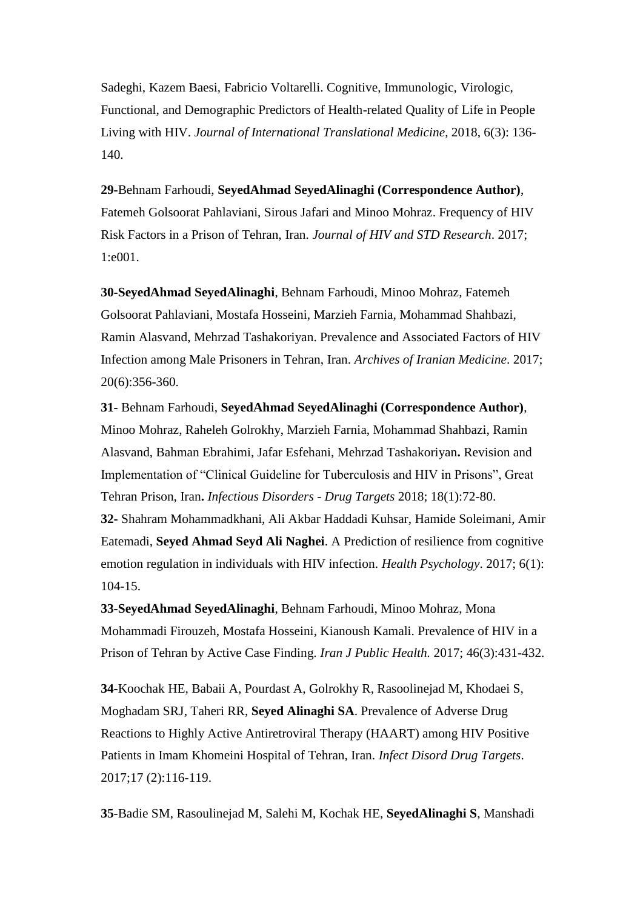Sadeghi, Kazem Baesi, Fabricio Voltarelli. Cognitive, Immunologic, Virologic, Functional, and Demographic Predictors of Health-related Quality of Life in People Living with HIV. *Journal of International Translational Medicine*, 2018, 6(3): 136- 140.

**29-**Behnam Farhoudi, **SeyedAhmad SeyedAlinaghi (Correspondence Author)**, Fatemeh Golsoorat Pahlaviani, Sirous Jafari and Minoo Mohraz. Frequency of HIV Risk Factors in a Prison of Tehran, Iran. *Journal of HIV and STD Research*. 2017; 1:e001.

**30-SeyedAhmad SeyedAlinaghi**, Behnam Farhoudi, Minoo Mohraz, Fatemeh Golsoorat Pahlaviani, Mostafa Hosseini, Marzieh Farnia, Mohammad Shahbazi, Ramin Alasvand, Mehrzad Tashakoriyan. Prevalence and Associated Factors of HIV Infection among Male Prisoners in Tehran, Iran. *Archives of Iranian Medicine*. 2017; 20(6):356-360.

**31-** Behnam Farhoudi, **SeyedAhmad SeyedAlinaghi (Correspondence Author)**, Minoo Mohraz, Raheleh Golrokhy, Marzieh Farnia, Mohammad Shahbazi, Ramin Alasvand, Bahman Ebrahimi, Jafar Esfehani, Mehrzad Tashakoriyan**.** Revision and Implementation of "Clinical Guideline for Tuberculosis and HIV in Prisons", Great Tehran Prison, Iran**.** *Infectious Disorders - Drug Targets* 2018; 18(1):72-80.

**32-** Shahram Mohammadkhani, Ali Akbar Haddadi Kuhsar, Hamide Soleimani, Amir Eatemadi, **Seyed Ahmad Seyd Ali Naghei**. A Prediction of resilience from cognitive emotion regulation in individuals with HIV infection. *Health Psychology*. 2017; 6(1): 104-15.

**33-SeyedAhmad SeyedAlinaghi**, Behnam Farhoudi, Minoo Mohraz, Mona Mohammadi Firouzeh, Mostafa Hosseini, Kianoush Kamali. Prevalence of HIV in a Prison of Tehran by Active Case Finding. *[Iran J Public Health.](https://www.ncbi.nlm.nih.gov/pubmed/28435834)* 2017; 46(3):431-432.

**34-**Koochak HE, Babaii A, Pourdast A, Golrokhy R, Rasoolinejad M, Khodaei S, Moghadam SRJ, Taheri RR, **Seyed Alinaghi SA**. [Prevalence of Adverse Drug](https://www.ncbi.nlm.nih.gov/pubmed/28164754)  [Reactions to Highly Active Antiretroviral Therapy \(HAART\) among HIV Positive](https://www.ncbi.nlm.nih.gov/pubmed/28164754)  [Patients in Imam Khomeini Hospital of Tehran, Iran.](https://www.ncbi.nlm.nih.gov/pubmed/28164754) *[Infect Disord Drug Targets](https://www.ncbi.nlm.nih.gov/pubmed/28164754)*. 2017;17 (2):116-119.

**35**[-Badie SM,](https://www.ncbi.nlm.nih.gov/pubmed/?term=Badie%20SM%5BAuthor%5D&cauthor=true&cauthor_uid=27919209) [Rasoulinejad M,](https://www.ncbi.nlm.nih.gov/pubmed/?term=Rasoulinejad%20M%5BAuthor%5D&cauthor=true&cauthor_uid=27919209) [Salehi M,](https://www.ncbi.nlm.nih.gov/pubmed/?term=Salehi%20M%5BAuthor%5D&cauthor=true&cauthor_uid=27919209) [Kochak HE,](https://www.ncbi.nlm.nih.gov/pubmed/?term=Kochak%20HE%5BAuthor%5D&cauthor=true&cauthor_uid=27919209) **[SeyedAlinaghi S](https://www.ncbi.nlm.nih.gov/pubmed/?term=SeyedAlinaghi%20S%5BAuthor%5D&cauthor=true&cauthor_uid=27919209)**, [Manshadi](https://www.ncbi.nlm.nih.gov/pubmed/?term=Manshadi%20SA%5BAuthor%5D&cauthor=true&cauthor_uid=27919209)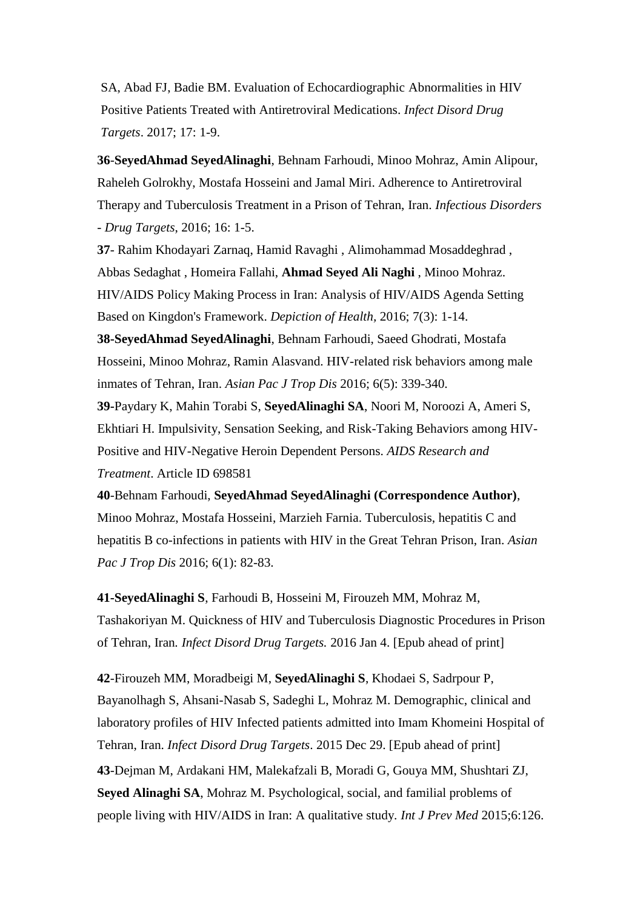[SA,](https://www.ncbi.nlm.nih.gov/pubmed/?term=Manshadi%20SA%5BAuthor%5D&cauthor=true&cauthor_uid=27919209) [Abad FJ,](https://www.ncbi.nlm.nih.gov/pubmed/?term=Abad%20FJ%5BAuthor%5D&cauthor=true&cauthor_uid=27919209) [Badie BM.](https://www.ncbi.nlm.nih.gov/pubmed/?term=Badie%20BM%5BAuthor%5D&cauthor=true&cauthor_uid=27919209) Evaluation of Echocardiographic Abnormalities in HIV Positive Patients Treated with Antiretroviral Medications. *[Infect Disord Drug](https://www.ncbi.nlm.nih.gov/pubmed/27919209)  [Targets](https://www.ncbi.nlm.nih.gov/pubmed/27919209)*. 2017; 17: 1-9.

**36**-**SeyedAhmad SeyedAlinaghi**, Behnam Farhoudi, Minoo Mohraz, Amin Alipour, Raheleh Golrokhy, Mostafa Hosseini and Jamal Miri. Adherence to Antiretroviral Therapy and Tuberculosis Treatment in a Prison of Tehran, Iran. *Infectious Disorders - Drug Targets*, 2016; 16: 1-5.

**37**- Rahim Khodayari Zarnaq, Hamid Ravaghi , Alimohammad Mosaddeghrad , Abbas Sedaghat , Homeira Fallahi, **Ahmad Seyed Ali Naghi** , Minoo Mohraz. HIV/AIDS Policy Making Process in Iran: Analysis of HIV/AIDS Agenda Setting Based on Kingdon's Framework. *[Depiction of Health,](http://www.magiran.com/magtoc.asp?mgID=7282&Number=703&Appendix=0&lanf=En)* 2016; 7(3): 1-14.

**38-SeyedAhmad SeyedAlinaghi**, Behnam Farhoudi, Saeed Ghodrati, Mostafa Hosseini, Minoo Mohraz, Ramin Alasvand. HIV-related risk behaviors among male inmates of Tehran, Iran. *Asian Pac J Trop Dis* 2016; 6(5): 339-340.

**39-**Paydary K, Mahin Torabi S, **SeyedAlinaghi SA**, Noori M, Noroozi A, Ameri S, Ekhtiari H. Impulsivity, Sensation Seeking, and Risk-Taking Behaviors among HIV-Positive and HIV-Negative Heroin Dependent Persons. *AIDS Research and Treatment*. Article ID 698581

**40**-Behnam Farhoudi, **SeyedAhmad SeyedAlinaghi (Correspondence Author)**, Minoo Mohraz, Mostafa Hosseini, Marzieh Farnia. Tuberculosis, hepatitis C and hepatitis B co-infections in patients with HIV in the Great Tehran Prison, Iran. *Asian Pac J Trop Dis* 2016; 6(1): 82-83.

**41[-SeyedAlinaghi S](http://www.ncbi.nlm.nih.gov/pubmed/?term=SeyedAlinaghi%20S%5BAuthor%5D&cauthor=true&cauthor_uid=26728922)**, [Farhoudi B,](http://www.ncbi.nlm.nih.gov/pubmed/?term=Farhoudi%20B%5BAuthor%5D&cauthor=true&cauthor_uid=26728922) [Hosseini M,](http://www.ncbi.nlm.nih.gov/pubmed/?term=Hosseini%20M%5BAuthor%5D&cauthor=true&cauthor_uid=26728922) [Firouzeh MM,](http://www.ncbi.nlm.nih.gov/pubmed/?term=Firouzeh%20MM%5BAuthor%5D&cauthor=true&cauthor_uid=26728922) [Mohraz M,](http://www.ncbi.nlm.nih.gov/pubmed/?term=Mohraz%20M%5BAuthor%5D&cauthor=true&cauthor_uid=26728922) [Tashakoriyan](http://www.ncbi.nlm.nih.gov/pubmed/?term=Tashakoriyan%20M%5BAuthor%5D&cauthor=true&cauthor_uid=26728922) M. Quickness of HIV and Tuberculosis Diagnostic Procedures in Prison of Tehran, Iran*. [Infect Disord Drug Targets.](http://www.ncbi.nlm.nih.gov/pubmed/26728922)* 2016 Jan 4. [Epub ahead of print]

**42**[-Firouzeh MM,](http://www.ncbi.nlm.nih.gov/pubmed/?term=Firouzeh%20MM%5BAuthor%5D&cauthor=true&cauthor_uid=26715444) [Moradbeigi M,](http://www.ncbi.nlm.nih.gov/pubmed/?term=Moradbeigi%20M%5BAuthor%5D&cauthor=true&cauthor_uid=26715444) **[SeyedAlinaghi S](http://www.ncbi.nlm.nih.gov/pubmed/?term=SeyedAlinaghi%20S%5BAuthor%5D&cauthor=true&cauthor_uid=26715444)**, [Khodaei S,](http://www.ncbi.nlm.nih.gov/pubmed/?term=Khodaei%20S%5BAuthor%5D&cauthor=true&cauthor_uid=26715444) [Sadrpour P,](http://www.ncbi.nlm.nih.gov/pubmed/?term=Sadrpour%20P%5BAuthor%5D&cauthor=true&cauthor_uid=26715444) [Bayanolhagh S,](http://www.ncbi.nlm.nih.gov/pubmed/?term=Bayanolhagh%20S%5BAuthor%5D&cauthor=true&cauthor_uid=26715444) [Ahsani-Nasab S,](http://www.ncbi.nlm.nih.gov/pubmed/?term=Ahsani-Nasab%20S%5BAuthor%5D&cauthor=true&cauthor_uid=26715444) [Sadeghi L,](http://www.ncbi.nlm.nih.gov/pubmed/?term=Sadeghi%20L%5BAuthor%5D&cauthor=true&cauthor_uid=26715444) [Mohraz M.](http://www.ncbi.nlm.nih.gov/pubmed/?term=Mohraz%20M%5BAuthor%5D&cauthor=true&cauthor_uid=26715444) Demographic, clinical and laboratory profiles of HIV Infected patients admitted into Imam Khomeini Hospital of Tehran, Iran. *[Infect Disord Drug Targets](http://www.ncbi.nlm.nih.gov/pubmed/26715444)*. 2015 Dec 29. [Epub ahead of print] **43**-Dejman M, Ardakani HM, Malekafzali B, Moradi G, Gouya MM, Shushtari ZJ, **Seyed Alinaghi SA**, Mohraz M. Psychological, social, and familial problems of people living with HIV/AIDS in Iran: A qualitative study*. Int J Prev Med* 2015;6:126.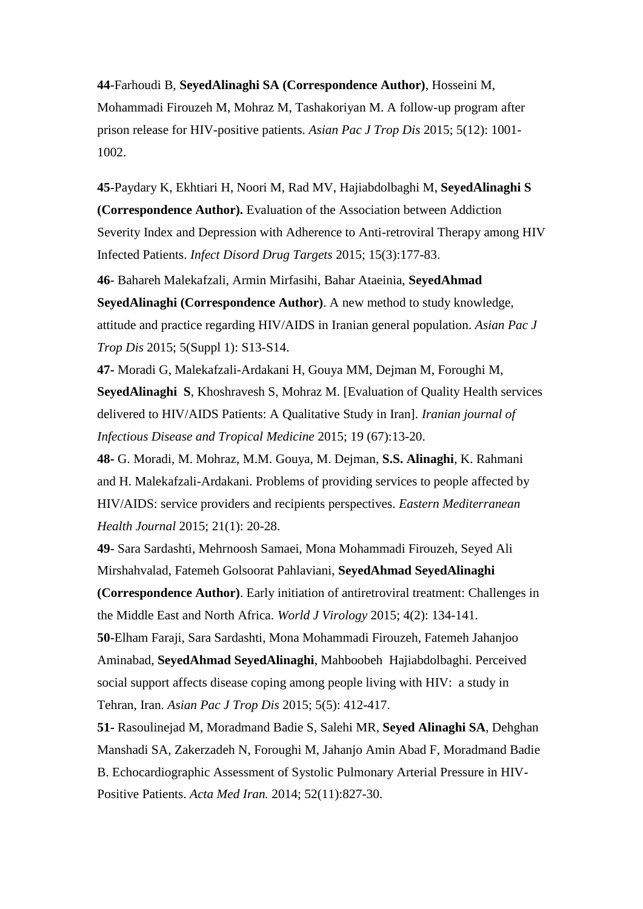**44**-Farhoudi B, **SeyedAlinaghi SA (Correspondence Author)**, Hosseini M, Mohammadi Firouzeh M, Mohraz M, Tashakoriyan M. A follow-up program after prison release for HIV-positive patients. *Asian Pac J Trop Dis* 2015; 5(12): 1001- 1002.

**45**[-Paydary K,](http://www.ncbi.nlm.nih.gov/pubmed/?term=Paydary%20K%5BAuthor%5D&cauthor=true&cauthor_uid=26411558) [Ekhtiari H,](http://www.ncbi.nlm.nih.gov/pubmed/?term=Ekhtiari%20H%5BAuthor%5D&cauthor=true&cauthor_uid=26411558) [Noori M,](http://www.ncbi.nlm.nih.gov/pubmed/?term=Noori%20M%5BAuthor%5D&cauthor=true&cauthor_uid=26411558) [Rad MV,](http://www.ncbi.nlm.nih.gov/pubmed/?term=Rad%20MV%5BAuthor%5D&cauthor=true&cauthor_uid=26411558) [Hajiabdolbaghi M,](http://www.ncbi.nlm.nih.gov/pubmed/?term=Hajiabdolbaghi%20M%5BAuthor%5D&cauthor=true&cauthor_uid=26411558) **[SeyedAlinaghi S](http://www.ncbi.nlm.nih.gov/pubmed/?term=SeyedAlinaghi%20S%5BAuthor%5D&cauthor=true&cauthor_uid=26411558) (Correspondence Author).** Evaluation of the Association between Addiction Severity Index and Depression with Adherence to Anti-retroviral Therapy among HIV Infected Patients. *[Infect Disord Drug Targets](http://www.ncbi.nlm.nih.gov/pubmed/26411558)* 2015; 15(3):177-83.

**46**- Bahareh Malekafzali, Armin Mirfasihi, Bahar Ataeinia, **SeyedAhmad SeyedAlinaghi (Correspondence Author)**. A new method to study knowledge, attitude and practice regarding HIV/AIDS in Iranian general population. *Asian Pac J Trop Dis* 2015; 5(Suppl 1): S13-S14.

**47-** Moradi G, Malekafzali-Ardakani H, Gouya MM, Dejman M, Foroughi M, **SeyedAlinaghi S**, Khoshravesh S, Mohraz M. [Evaluation of Quality Health services delivered to HIV/AIDS Patients: A Qualitative Study in Iran]. *Iranian journal of Infectious Disease and Tropical Medicine* 2015; 19 (67):13-20.

**48-** G. Moradi, M. Mohraz, M.M. Gouya, M. Dejman, **S.S. Alinaghi**, K. Rahmani and H. Malekafzali-Ardakani. Problems of providing services to people affected by HIV/AIDS: service providers and recipients perspectives. *Eastern Mediterranean Health Journal* 2015; 21(1): 20-28.

**49**- Sara Sardashti, Mehrnoosh Samaei, Mona Mohammadi Firouzeh, Seyed Ali Mirshahvalad, Fatemeh Golsoorat Pahlaviani, **SeyedAhmad SeyedAlinaghi**

**(Correspondence Author)**. Early initiation of antiretroviral treatment: Challenges in the Middle East and North Africa. *World J Virology* 2015; 4(2): 134-141.

**50**-Elham Faraji, Sara Sardashti, Mona Mohammadi Firouzeh, Fatemeh Jahanjoo Aminabad, **SeyedAhmad SeyedAlinaghi**, Mahboobeh Hajiabdolbaghi. Perceived social support affects disease coping among people living with HIV: a study in Tehran, Iran. *Asian Pac J Trop Dis* 2015; 5(5): 412-417.

**51-** [Rasoulinejad M,](http://www.ncbi.nlm.nih.gov/pubmed?term=Rasoulinejad%20M%5BAuthor%5D&cauthor=true&cauthor_uid=25415815) [Moradmand Badie S,](http://www.ncbi.nlm.nih.gov/pubmed?term=Moradmand%20Badie%20S%5BAuthor%5D&cauthor=true&cauthor_uid=25415815) [Salehi MR,](http://www.ncbi.nlm.nih.gov/pubmed?term=Salehi%20MR%5BAuthor%5D&cauthor=true&cauthor_uid=25415815) **[Seyed Alinaghi SA](http://www.ncbi.nlm.nih.gov/pubmed?term=Seyed%20Alinaghi%20SA%5BAuthor%5D&cauthor=true&cauthor_uid=25415815)**, [Dehghan](http://www.ncbi.nlm.nih.gov/pubmed?term=Dehghan%20Manshadi%20SA%5BAuthor%5D&cauthor=true&cauthor_uid=25415815)  [Manshadi SA,](http://www.ncbi.nlm.nih.gov/pubmed?term=Dehghan%20Manshadi%20SA%5BAuthor%5D&cauthor=true&cauthor_uid=25415815) [Zakerzadeh N,](http://www.ncbi.nlm.nih.gov/pubmed?term=Zakerzadeh%20N%5BAuthor%5D&cauthor=true&cauthor_uid=25415815) [Foroughi M,](http://www.ncbi.nlm.nih.gov/pubmed?term=Foroughi%20M%5BAuthor%5D&cauthor=true&cauthor_uid=25415815) [Jahanjo Amin Abad F,](http://www.ncbi.nlm.nih.gov/pubmed?term=Jahanjo%20Amin%20Abad%20F%5BAuthor%5D&cauthor=true&cauthor_uid=25415815) [Moradmand Badie](http://www.ncbi.nlm.nih.gov/pubmed?term=Moradmand%20Badie%20B%5BAuthor%5D&cauthor=true&cauthor_uid=25415815)  [B.](http://www.ncbi.nlm.nih.gov/pubmed?term=Moradmand%20Badie%20B%5BAuthor%5D&cauthor=true&cauthor_uid=25415815) Echocardiographic Assessment of Systolic Pulmonary Arterial Pressure in HIV-Positive Patients. *[Acta Med Iran.](http://www.ncbi.nlm.nih.gov/pubmed/25415815)* 2014; 52(11):827-30.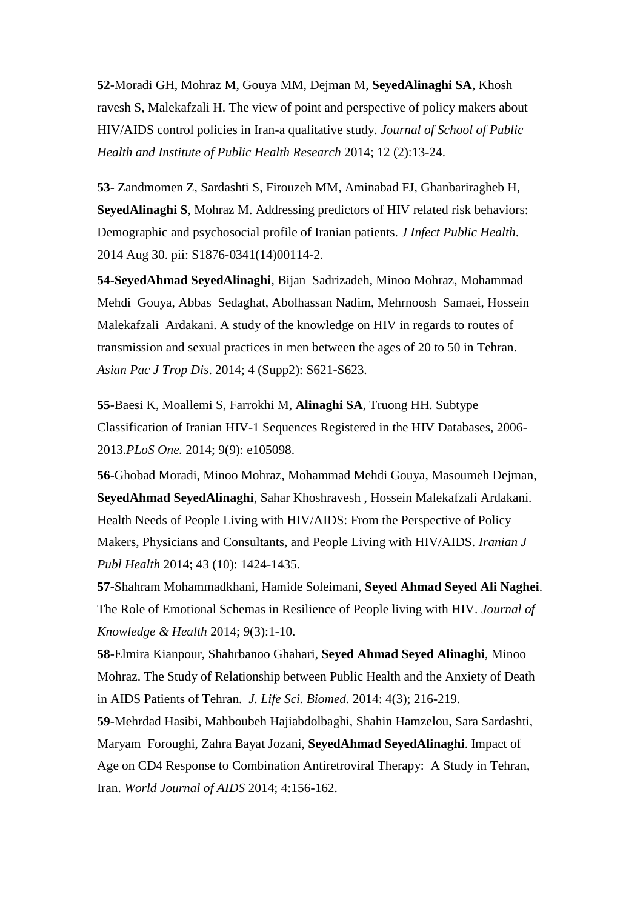**52**-Moradi GH, Mohraz M, Gouya MM, Dejman M, **SeyedAlinaghi SA**, Khosh ravesh S, Malekafzali H. The view of point and perspective of policy makers about HIV/AIDS control policies in Iran-a qualitative study. *Journal of School of Public Health and Institute of Public Health Research* 2014; 12 (2):13-24.

**53-** [Zandmomen Z,](http://www.ncbi.nlm.nih.gov/pubmed?term=Zandmomen%20Z%5BAuthor%5D&cauthor=true&cauthor_uid=25182509) [Sardashti S,](http://www.ncbi.nlm.nih.gov/pubmed?term=Sardashti%20S%5BAuthor%5D&cauthor=true&cauthor_uid=25182509) [Firouzeh MM,](http://www.ncbi.nlm.nih.gov/pubmed?term=Firouzeh%20MM%5BAuthor%5D&cauthor=true&cauthor_uid=25182509) [Aminabad FJ,](http://www.ncbi.nlm.nih.gov/pubmed?term=Aminabad%20FJ%5BAuthor%5D&cauthor=true&cauthor_uid=25182509) [Ghanbariragheb H,](http://www.ncbi.nlm.nih.gov/pubmed?term=Ghanbariragheb%20H%5BAuthor%5D&cauthor=true&cauthor_uid=25182509) **[SeyedAlinaghi S](http://www.ncbi.nlm.nih.gov/pubmed?term=SeyedAlinaghi%20S%5BAuthor%5D&cauthor=true&cauthor_uid=25182509)**, [Mohraz M.](http://www.ncbi.nlm.nih.gov/pubmed?term=Mohraz%20M%5BAuthor%5D&cauthor=true&cauthor_uid=25182509) Addressing predictors of HIV related risk behaviors: Demographic and psychosocial profile of Iranian patients. *[J Infect Public Health](http://www.ncbi.nlm.nih.gov/pubmed/25182509)*. 2014 Aug 30. pii: S1876-0341(14)00114-2.

**54-SeyedAhmad SeyedAlinaghi**, Bijan Sadrizadeh, Minoo Mohraz, Mohammad Mehdi Gouya, Abbas Sedaghat, Abolhassan Nadim, Mehrnoosh Samaei, Hossein Malekafzali Ardakani. A study of the knowledge on HIV in regards to routes of transmission and sexual practices in men between the ages of 20 to 50 in Tehran. *Asian Pac J Trop Dis*. 2014; [4 \(Supp2\)](http://www.sciencedirect.com/science/journal/22221808/4/supp/S2): S621-S623.

**55**[-Baesi K,](http://www.ncbi.nlm.nih.gov/pubmed?term=Baesi%20K%5BAuthor%5D&cauthor=true&cauthor_uid=25188443) [Moallemi S,](http://www.ncbi.nlm.nih.gov/pubmed?term=Moallemi%20S%5BAuthor%5D&cauthor=true&cauthor_uid=25188443) [Farrokhi M,](http://www.ncbi.nlm.nih.gov/pubmed?term=Farrokhi%20M%5BAuthor%5D&cauthor=true&cauthor_uid=25188443) **[Alinaghi SA](http://www.ncbi.nlm.nih.gov/pubmed?term=Alinaghi%20SA%5BAuthor%5D&cauthor=true&cauthor_uid=25188443)**, [Truong HH.](http://www.ncbi.nlm.nih.gov/pubmed?term=Truong%20HH%5BAuthor%5D&cauthor=true&cauthor_uid=25188443) Subtype Classification of Iranian HIV-1 Sequences Registered in the HIV Databases, 2006- 2013.*[PLoS One.](http://www.ncbi.nlm.nih.gov/pubmed/25188443)* 2014; 9(9): e105098.

**56-**Ghobad Moradi, Minoo Mohraz, Mohammad Mehdi Gouya, Masoumeh Dejman, **SeyedAhmad SeyedAlinaghi**, Sahar Khoshravesh , Hossein Malekafzali Ardakani. Health Needs of People Living with HIV/AIDS: From the Perspective of Policy Makers, Physicians and Consultants, and People Living with HIV/AIDS. *Iranian J Publ Health* 2014; 43 (10): 1424-1435.

**57-**Shahram Mohammadkhani, Hamide Soleimani, **Seyed Ahmad Seyed Ali Naghei**. The Role of Emotional Schemas in Resilience of People living with HIV. *Journal of Knowledge & Health* 2014; 9(3):1-10.

**58**-Elmira Kianpour, Shahrbanoo Ghahari, **Seyed Ahmad Seyed Alinaghi**, Minoo Mohraz. The Study of Relationship between Public Health and the Anxiety of Death in AIDS Patients of Tehran. *J. Life Sci. Biomed.* 2014: 4(3); 216-219.

**59**-Mehrdad Hasibi, Mahboubeh Hajiabdolbaghi, Shahin Hamzelou, Sara Sardashti, Maryam Foroughi, Zahra Bayat Jozani, **SeyedAhmad SeyedAlinaghi**. Impact of Age on CD4 Response to Combination Antiretroviral Therapy: A Study in Tehran, Iran. *World Journal of AIDS* 2014; 4:156-162.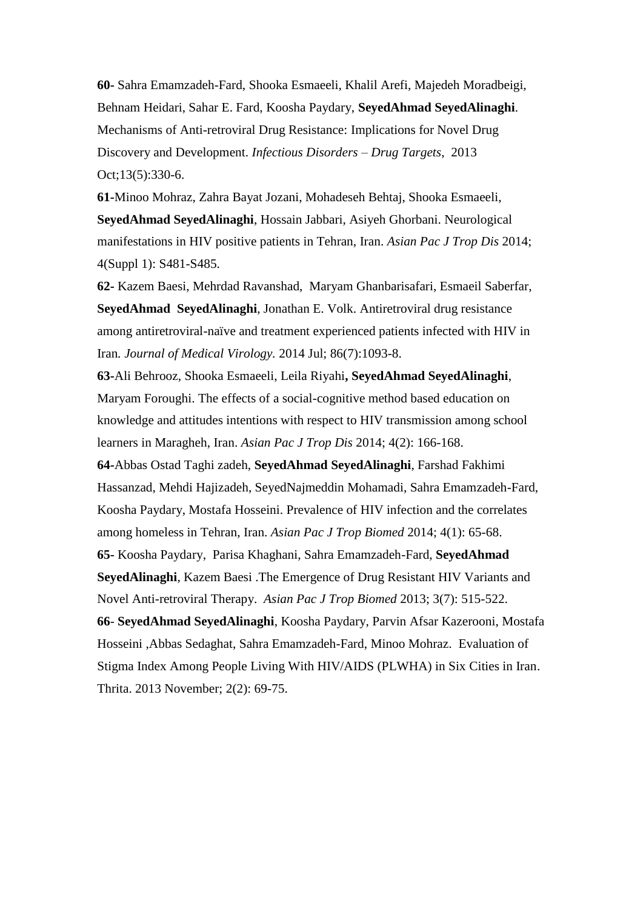**60-** Sahra Emamzadeh-Fard, Shooka Esmaeeli, Khalil Arefi, Majedeh Moradbeigi, Behnam Heidari, Sahar E. Fard, Koosha Paydary, **SeyedAhmad SeyedAlinaghi**. Mechanisms of Anti-retroviral Drug Resistance: Implications for Novel Drug Discovery and Development. *Infectious Disorders – Drug Targets*, 2013 Oct;13(5):330-6.

**61-**Minoo Mohraz, Zahra Bayat Jozani, Mohadeseh Behtaj, Shooka Esmaeeli, **SeyedAhmad SeyedAlinaghi**, Hossain Jabbari, Asiyeh Ghorbani. Neurological manifestations in HIV positive patients in Tehran, Iran. *Asian Pac J Trop Dis* 2014; 4(Suppl 1): S481-S485.

**62-** Kazem Baesi, Mehrdad Ravanshad, Maryam Ghanbarisafari, Esmaeil Saberfar, **SeyedAhmad SeyedAlinaghi**, Jonathan E. Volk. Antiretroviral drug resistance among antiretroviral-naïve and treatment experienced patients infected with HIV in Iran*. Journal of Medical Virology.* 2014 Jul; 86(7):1093-8.

**63-**Ali Behrooz, Shooka Esmaeeli, Leila Riyahi**, SeyedAhmad SeyedAlinaghi**, Maryam Foroughi. The effects of a social-cognitive method based education on knowledge and attitudes intentions with respect to HIV transmission among school learners in Maragheh, Iran. *Asian Pac J Trop Dis* 2014; 4(2): 166-168.

**64-**Abbas Ostad Taghi zadeh, **SeyedAhmad SeyedAlinaghi**, Farshad Fakhimi Hassanzad, Mehdi Hajizadeh, SeyedNajmeddin Mohamadi, Sahra Emamzadeh-Fard, Koosha Paydary, Mostafa Hosseini. Prevalence of HIV infection and the correlates among homeless in Tehran, Iran. *Asian Pac J Trop Biomed* 2014; 4(1): 65-68. **65-** Koosha Paydary, Parisa Khaghani, Sahra Emamzadeh-Fard, **SeyedAhmad SeyedAlinaghi**, Kazem Baesi .The Emergence of Drug Resistant HIV Variants and Novel Anti-retroviral Therapy. *Asian Pac J Trop Biomed* 2013; 3(7): 515-522.

**66**- **SeyedAhmad SeyedAlinaghi**, Koosha Paydary, Parvin Afsar Kazerooni, Mostafa Hosseini ,Abbas Sedaghat, Sahra Emamzadeh-Fard, Minoo Mohraz. Evaluation of Stigma Index Among People Living With HIV/AIDS (PLWHA) in Six Cities in Iran. Thrita. 2013 November; 2(2): 69-75.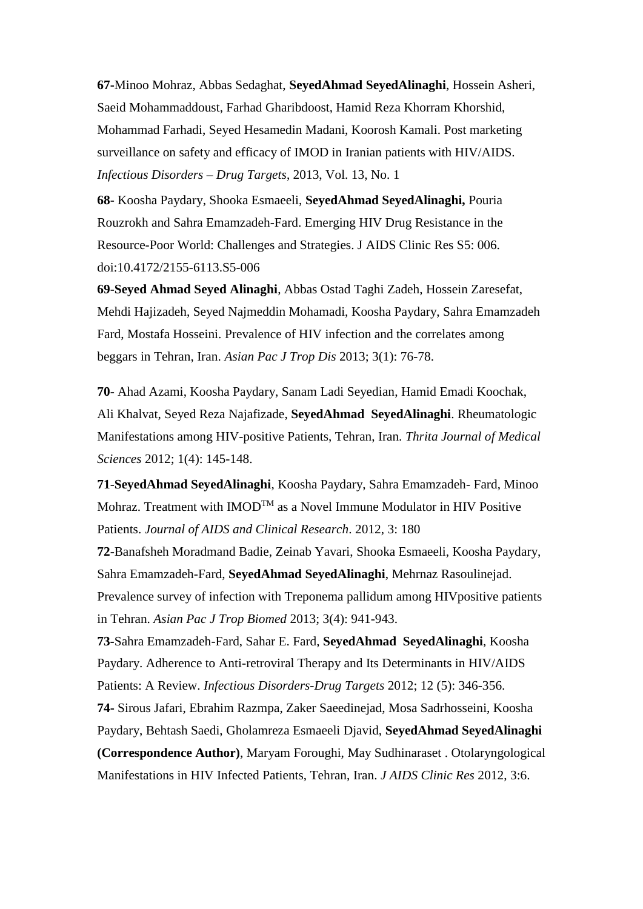**67-**Minoo Mohraz, Abbas Sedaghat, **SeyedAhmad SeyedAlinaghi**, Hossein Asheri, Saeid Mohammaddoust, Farhad Gharibdoost, Hamid Reza Khorram Khorshid, Mohammad Farhadi, Seyed Hesamedin Madani, Koorosh Kamali. Post marketing surveillance on safety and efficacy of IMOD in Iranian patients with HIV/AIDS. *Infectious Disorders – Drug Targets*, 2013, Vol. 13, No. 1

**68**- Koosha Paydary, Shooka Esmaeeli, **SeyedAhmad SeyedAlinaghi,** Pouria Rouzrokh and Sahra Emamzadeh-Fard. Emerging HIV Drug Resistance in the Resource-Poor World: Challenges and Strategies. J AIDS Clinic Res S5: 006. doi:10.4172/2155-6113.S5-006

**69**-**Seyed Ahmad Seyed Alinaghi**, Abbas Ostad Taghi Zadeh, Hossein Zaresefat, Mehdi Hajizadeh, Seyed Najmeddin Mohamadi, Koosha Paydary, Sahra Emamzadeh Fard, Mostafa Hosseini. Prevalence of HIV infection and the correlates among beggars in Tehran, Iran. *Asian Pac J Trop Dis* 2013; 3(1): 76-78.

**70**- [Ahad Azami,](http://thritajournal.com/?page=search&authors_q=Azami&do_search=1&type=authors) [Koosha Paydary,](http://thritajournal.com/?page=search&authors_q=Paydary&do_search=1&type=authors) [Sanam Ladi Seyedian,](http://thritajournal.com/?page=search&authors_q=Ladi%20Seyedian&do_search=1&type=authors) [Hamid Emadi Koochak,](http://thritajournal.com/?page=search&authors_q=Emadi%20Koochak&do_search=1&type=authors) [Ali Khalvat,](http://thritajournal.com/?page=search&authors_q=Khalvat&do_search=1&type=authors) [Seyed Reza Najafizade,](http://thritajournal.com/?page=search&authors_q=Najafizade&do_search=1&type=authors) **[SeyedAhmad SeyedAlinaghi](http://thritajournal.com/?page=search&authors_q=Seyed%20Alinaghi&do_search=1&type=authors)**. Rheumatologic Manifestations among HIV-positive Patients, Tehran, Iran. *Thrita Journal of Medical Sciences* 2012; 1(4): 145-148.

**71**-**SeyedAhmad SeyedAlinaghi**, Koosha Paydary, Sahra Emamzadeh- Fard, Minoo Mohraz. Treatment with  $MOD^{TM}$  as a Novel Immune Modulator in HIV Positive Patients. *Journal of AIDS and Clinical Research*. 2012, 3: 180

**72**-Banafsheh Moradmand Badie, Zeinab Yavari, Shooka Esmaeeli, Koosha Paydary, Sahra Emamzadeh-Fard, **SeyedAhmad SeyedAlinaghi**, Mehrnaz Rasoulinejad. Prevalence survey of infection with Treponema pallidum among HIVpositive patients in Tehran. *Asian Pac J Trop Biomed* 2013; 3(4): 941-943.

**73***-*Sahra Emamzadeh-Fard, Sahar E. Fard, **SeyedAhmad SeyedAlinaghi**, Koosha Paydary. Adherence to Anti-retroviral Therapy and Its Determinants in HIV/AIDS Patients: A Review. *Infectious Disorders-Drug Targets* 2012; 12 (5): 346-356.

**74-** Sirous Jafari, Ebrahim Razmpa, Zaker Saeedinejad, Mosa Sadrhosseini, Koosha Paydary, Behtash Saedi, Gholamreza Esmaeeli Djavid, **SeyedAhmad SeyedAlinaghi (Correspondence Author)**, Maryam Foroughi, May Sudhinaraset . Otolaryngological Manifestations in HIV Infected Patients, Tehran, Iran. *J AIDS Clinic Res* 2012, 3:6.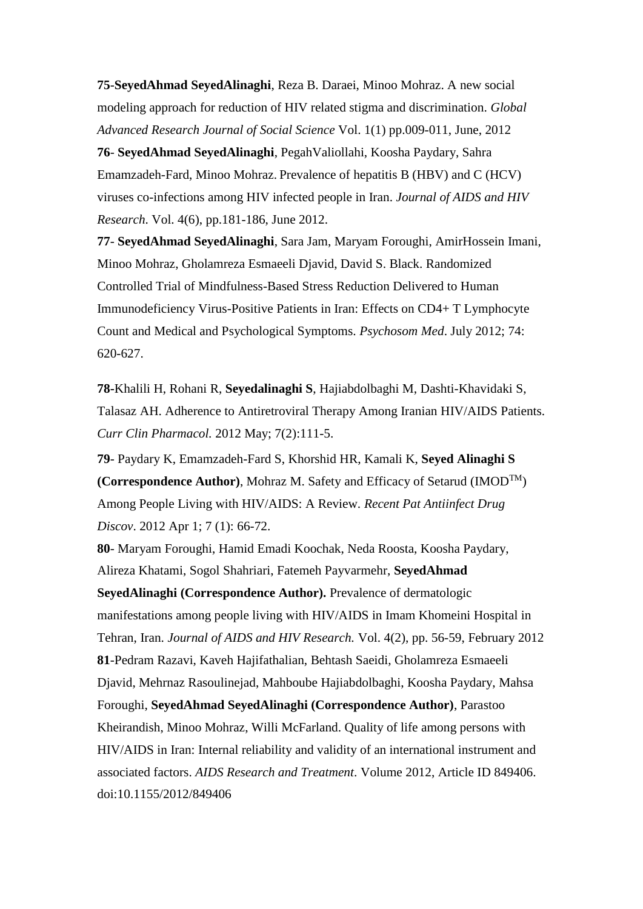**75**-**SeyedAhmad SeyedAlinaghi**, Reza B. Daraei, Minoo Mohraz. A new social modeling approach for reduction of HIV related stigma and discrimination. *Global Advanced Research Journal of Social Science* Vol. 1(1) pp.009-011, June, 2012 **76**- **SeyedAhmad SeyedAlinaghi**, PegahValiollahi, Koosha Paydary, Sahra Emamzadeh-Fard, Minoo Mohraz. Prevalence of hepatitis B (HBV) and C (HCV) viruses co-infections among HIV infected people in Iran. *Journal of AIDS and HIV Research*. Vol. 4(6), pp.181-186, June 2012.

**77**- **SeyedAhmad SeyedAlinaghi**, Sara Jam, Maryam Foroughi, AmirHossein Imani, Minoo Mohraz, Gholamreza Esmaeeli Djavid, David S. Black. Randomized Controlled Trial of Mindfulness-Based Stress Reduction Delivered to Human Immunodeficiency Virus-Positive Patients in Iran: Effects on CD4+ T Lymphocyte Count and Medical and Psychological Symptoms. *[Psychosom Med](http://www.ncbi.nlm.nih.gov/pubmed/22753635)*. July 2012; 74: 620-627.

**78-**[Khalili H,](http://www.ncbi.nlm.nih.gov/pubmed?term=%22Khalili%20H%22%5BAuthor%5D) [Rohani R,](http://www.ncbi.nlm.nih.gov/pubmed?term=%22Rohani%20R%22%5BAuthor%5D) **[Seyedalinaghi S](http://www.ncbi.nlm.nih.gov/pubmed?term=%22Seyedalinaghi%20S%22%5BAuthor%5D)**, [Hajiabdolbaghi M,](http://www.ncbi.nlm.nih.gov/pubmed?term=%22Hajiabdolbaghi%20M%22%5BAuthor%5D) [Dashti-Khavidaki S,](http://www.ncbi.nlm.nih.gov/pubmed?term=%22Dashti-Khavidaki%20S%22%5BAuthor%5D) [Talasaz AH.](http://www.ncbi.nlm.nih.gov/pubmed?term=%22Talasaz%20AH%22%5BAuthor%5D) Adherence to Antiretroviral Therapy Among Iranian HIV/AIDS Patients. *[Curr Clin Pharmacol.](http://www.ncbi.nlm.nih.gov/pubmed/22432842)* 2012 May; 7(2):111-5.

**79**- [Paydary K,](http://www.ncbi.nlm.nih.gov/pubmed?term=%22Paydary%20K%22%5BAuthor%5D) [Emamzadeh-Fard S,](http://www.ncbi.nlm.nih.gov/pubmed?term=%22Emamzadeh-Fard%20S%22%5BAuthor%5D) [Khorshid HR,](http://www.ncbi.nlm.nih.gov/pubmed?term=%22Khorshid%20HR%22%5BAuthor%5D) [Kamali K,](http://www.ncbi.nlm.nih.gov/pubmed?term=%22Kamali%20K%22%5BAuthor%5D) **[Seyed Alinaghi S](http://www.ncbi.nlm.nih.gov/pubmed?term=%22Seyed%20Alinaghi%20S%22%5BAuthor%5D) (Correspondence Author)**, [Mohraz M.](http://www.ncbi.nlm.nih.gov/pubmed?term=%22Mohraz%20M%22%5BAuthor%5D) Safety and Efficacy of Setarud (IMODTM) Among People Living with HIV/AIDS: A Review. *[Recent Pat Antiinfect Drug](http://www.ncbi.nlm.nih.gov/pubmed/22353002)  [Discov](http://www.ncbi.nlm.nih.gov/pubmed/22353002)*. 2012 Apr 1; 7 (1): 66-72.

**80**- Maryam Foroughi, Hamid Emadi Koochak, Neda Roosta, Koosha Paydary, Alireza Khatami, Sogol Shahriari, Fatemeh Payvarmehr, **SeyedAhmad SeyedAlinaghi (Correspondence Author).** Prevalence of dermatologic manifestations among people living with HIV/AIDS in Imam Khomeini Hospital in Tehran, Iran. *Journal of AIDS and HIV Research.* Vol. 4(2), pp. 56-59, February 2012 **81**-Pedram Razavi, Kaveh Hajifathalian, Behtash Saeidi, Gholamreza Esmaeeli Djavid, Mehrnaz Rasoulinejad, Mahboube Hajiabdolbaghi, Koosha Paydary, Mahsa Foroughi, **SeyedAhmad SeyedAlinaghi (Correspondence Author)**, Parastoo Kheirandish, Minoo Mohraz, Willi McFarland. Quality of life among persons with HIV/AIDS in Iran: Internal reliability and validity of an international instrument and associated factors. *AIDS Research and Treatment*. Volume 2012, Article ID 849406. doi:10.1155/2012/849406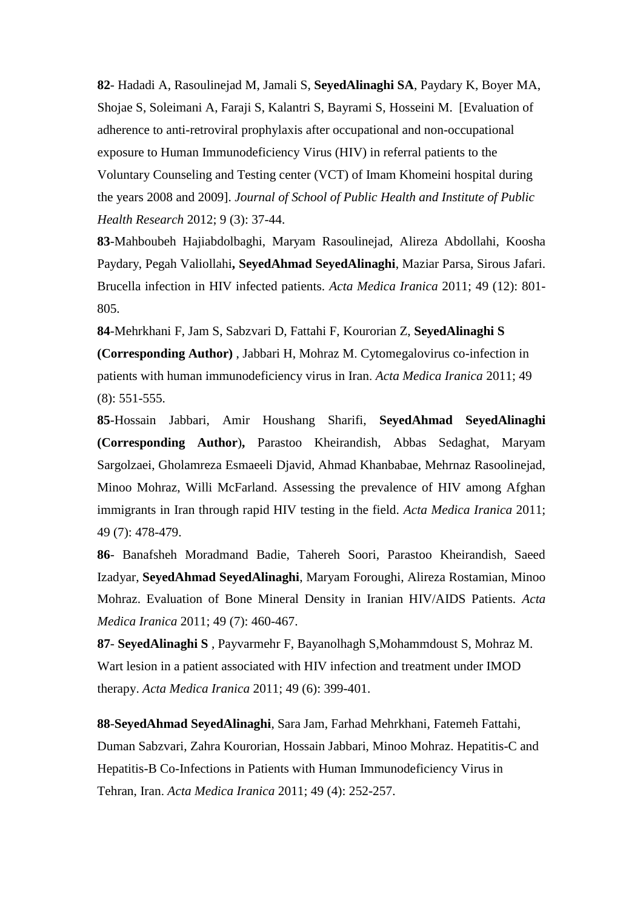**82**- Hadadi A, Rasoulinejad M, Jamali S, **SeyedAlinaghi SA**, Paydary K, Boyer MA, Shojae S, Soleimani A, Faraji S, Kalantri S, Bayrami S, Hosseini M. [Evaluation of adherence to anti-retroviral prophylaxis after occupational and non-occupational exposure to Human Immunodeficiency Virus (HIV) in referral patients to the Voluntary Counseling and Testing center (VCT) of Imam Khomeini hospital during the years 2008 and 2009]. *[Journal of School of Public Health and Institute of Public](http://journals.tums.ac.ir/description.aspx?org_id=59&culture_var=en&journal_id=11&issue_id=2429&segment=fa)  [Health Research](http://journals.tums.ac.ir/description.aspx?org_id=59&culture_var=en&journal_id=11&issue_id=2429&segment=fa)* 2012; 9 (3): 37-44.

**83**-Mahboubeh Hajiabdolbaghi, Maryam Rasoulinejad, Alireza Abdollahi, Koosha Paydary, Pegah Valiollahi**, SeyedAhmad SeyedAlinaghi**, Maziar Parsa, Sirous Jafari. Brucella infection in HIV infected patients. *Acta Medica Iranica* 2011; 49 (12): 801- 805.

**84**-Mehrkhani F, Jam S, Sabzvari D, Fattahi F, Kourorian Z, **SeyedAlinaghi S**

**(Corresponding Author)** , Jabbari H, Mohraz M. Cytomegalovirus co-infection in patients with human immunodeficiency virus in Iran. *Acta Medica Iranica* 2011; 49 (8): 551-555.

**85**-Hossain Jabbari, Amir Houshang Sharifi, **SeyedAhmad SeyedAlinaghi (Corresponding Author**)**,** Parastoo Kheirandish, Abbas Sedaghat, Maryam Sargolzaei, Gholamreza Esmaeeli Djavid, Ahmad Khanbabae, Mehrnaz Rasoolinejad, Minoo Mohraz, Willi McFarland. Assessing the prevalence of HIV among Afghan immigrants in Iran through rapid HIV testing in the field. *Acta Medica Iranica* 2011; 49 (7): 478-479.

**86**- Banafsheh Moradmand Badie, Tahereh Soori, Parastoo Kheirandish, Saeed Izadyar, **SeyedAhmad SeyedAlinaghi**, Maryam Foroughi, Alireza Rostamian, Minoo Mohraz. Evaluation of Bone Mineral Density in Iranian HIV/AIDS Patients. *Acta Medica Iranica* 2011; 49 (7): 460-467.

**87**- **SeyedAlinaghi S** , Payvarmehr F, Bayanolhagh S,Mohammdoust S, Mohraz M. Wart lesion in a patient associated with HIV infection and treatment under IMOD therapy. *Acta Medica Iranica* 2011; 49 (6): 399-401.

**88**-**SeyedAhmad SeyedAlinaghi**, Sara Jam, Farhad Mehrkhani, Fatemeh Fattahi, Duman Sabzvari, Zahra Kourorian, Hossain Jabbari, Minoo Mohraz. Hepatitis-C and Hepatitis-B Co-Infections in Patients with Human Immunodeficiency Virus in Tehran, Iran. *Acta Medica Iranica* 2011; 49 (4): 252-257.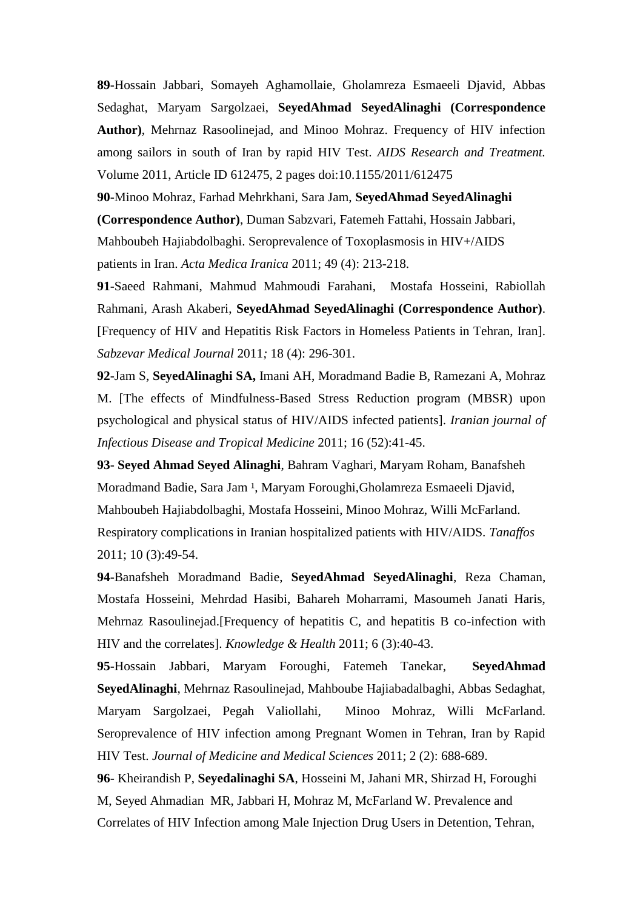**89**-Hossain Jabbari, Somayeh Aghamollaie, Gholamreza Esmaeeli Djavid, Abbas Sedaghat, Maryam Sargolzaei, **SeyedAhmad SeyedAlinaghi (Correspondence Author)**, Mehrnaz Rasoolinejad, and Minoo Mohraz. Frequency of HIV infection among sailors in south of Iran by rapid HIV Test. *AIDS Research and Treatment.*  Volume 2011, Article ID 612475, 2 pages doi:10.1155/2011/612475

**90**-Minoo Mohraz, Farhad Mehrkhani, Sara Jam, **SeyedAhmad SeyedAlinaghi (Correspondence Author)**, Duman Sabzvari, Fatemeh Fattahi, Hossain Jabbari, Mahboubeh Hajiabdolbaghi. Seroprevalence of Toxoplasmosis in HIV+/AIDS patients in Iran. *Acta Medica Iranica* 2011; 49 (4): 213-218.

**91**-Saeed Rahmani, Mahmud Mahmoudi Farahani, Mostafa Hosseini, Rabiollah Rahmani, Arash Akaberi, **SeyedAhmad SeyedAlinaghi (Correspondence Author)**. [Frequency of HIV and Hepatitis Risk Factors in Homeless Patients in Tehran, Iran]. *Sabzevar Medical Journal* 2011*;* 18 (4): 296-301.

**92**-Jam S, **SeyedAlinaghi SA,** Imani AH, Moradmand Badie B, Ramezani A, Mohraz M. [The effects of Mindfulness-Based Stress Reduction program (MBSR) upon psychological and physical status of HIV/AIDS infected patients]. *Iranian journal of Infectious Disease and Tropical Medicine* 2011; 16 (52):41-45.

**93**- **Seyed Ahmad Seyed Alinaghi**, Bahram Vaghari, Maryam Roham, Banafsheh Moradmand Badie, Sara Jam <sup>1</sup>, Maryam Foroughi, Gholamreza Esmaeeli Djavid, Mahboubeh Hajiabdolbaghi, Mostafa Hosseini, Minoo Mohraz, Willi McFarland. Respiratory complications in Iranian hospitalized patients with HIV/AIDS. *Tanaffos*  2011; 10 (3):49-54.

**94**-Banafsheh Moradmand Badie, **SeyedAhmad SeyedAlinaghi**, Reza Chaman, Mostafa Hosseini, Mehrdad Hasibi, Bahareh Moharrami, Masoumeh Janati Haris, Mehrnaz Rasoulinejad.[Frequency of hepatitis C, and hepatitis B co-infection with HIV and the correlates]. *Knowledge & Health* 2011; 6 (3):40-43.

**95**-Hossain Jabbari, Maryam Foroughi, Fatemeh Tanekar, **SeyedAhmad SeyedAlinaghi**, Mehrnaz Rasoulinejad, Mahboube Hajiabadalbaghi, Abbas Sedaghat, Maryam Sargolzaei, Pegah Valiollahi, Minoo Mohraz, Willi McFarland. Seroprevalence of HIV infection among Pregnant Women in Tehran, Iran by Rapid HIV Test. *Journal of Medicine and Medical Sciences* 2011; 2 (2): 688-689.

**96**- Kheirandish P, **Seyedalinaghi SA**, Hosseini M, Jahani MR, Shirzad H, Foroughi M, Seyed Ahmadian MR, Jabbari H, Mohraz M, McFarland W. Prevalence and Correlates of HIV Infection among Male Injection Drug Users in Detention, Tehran,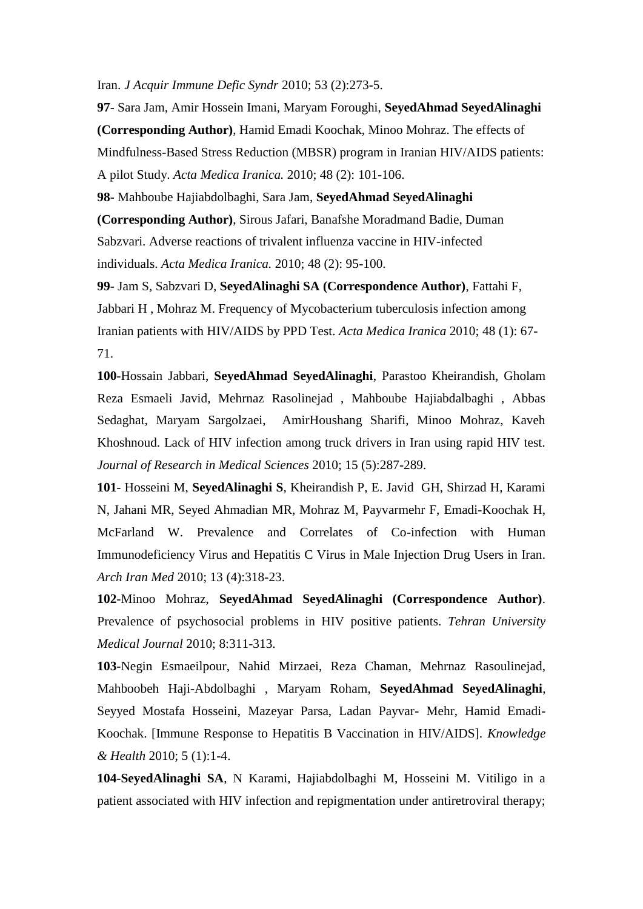#### Iran. *J Acquir Immune Defic Syndr* 2010; 53 (2):273-5.

**97**- Sara Jam, Amir Hossein Imani, Maryam Foroughi, **SeyedAhmad SeyedAlinaghi (Corresponding Author)**, Hamid Emadi Koochak, Minoo Mohraz. The effects of Mindfulness-Based Stress Reduction (MBSR) program in Iranian HIV/AIDS patients: A pilot Study. *Acta Medica Iranica.* 2010; 48 (2): 101-106.

**98**- Mahboube Hajiabdolbaghi, Sara Jam, **SeyedAhmad SeyedAlinaghi** 

**(Corresponding Author)**, Sirous Jafari, Banafshe Moradmand Badie, Duman Sabzvari. Adverse reactions of trivalent influenza vaccine in HIV-infected individuals. *Acta Medica Iranica.* 2010; 48 (2): 95-100.

**99**- Jam S, Sabzvari D, **SeyedAlinaghi SA (Correspondence Author)**, Fattahi F, Jabbari H , Mohraz M. Frequency of Mycobacterium tuberculosis infection among Iranian patients with HIV/AIDS by PPD Test. *Acta Medica Iranica* 2010; 48 (1): 67- 71.

**100**-Hossain Jabbari, **SeyedAhmad SeyedAlinaghi**, Parastoo Kheirandish, Gholam Reza Esmaeli Javid, Mehrnaz Rasolinejad , Mahboube Hajiabdalbaghi , Abbas Sedaghat, Maryam Sargolzaei, AmirHoushang Sharifi, Minoo Mohraz, Kaveh Khoshnoud. Lack of HIV infection among truck drivers in Iran using rapid HIV test. *Journal of Research in Medical Sciences* 2010; 15 (5):287-289.

**101**- Hosseini M, **SeyedAlinaghi S**, Kheirandish P, E. Javid GH, Shirzad H, Karami N, Jahani MR, Seyed Ahmadian MR, Mohraz M, Payvarmehr F, Emadi-Koochak H, McFarland W. Prevalence and Correlates of Co-infection with Human Immunodeficiency Virus and Hepatitis C Virus in Male Injection Drug Users in Iran. *Arch Iran Med* 2010; 13 (4):318-23.

**102**-Minoo Mohraz, **SeyedAhmad SeyedAlinaghi (Correspondence Author)**. Prevalence of psychosocial problems in HIV positive patients. *Tehran University Medical Journal* 2010; 8:311-313.

**103**-Negin Esmaeilpour, Nahid Mirzaei, Reza Chaman, Mehrnaz Rasoulinejad, Mahboobeh Haji-Abdolbaghi , Maryam Roham, **SeyedAhmad SeyedAlinaghi**, Seyyed Mostafa Hosseini, Mazeyar Parsa, Ladan Payvar- Mehr, Hamid Emadi-Koochak. [Immune Response to Hepatitis B Vaccination in HIV/AIDS]. *Knowledge & Health* 2010; 5 (1):1-4.

**104**-**SeyedAlinaghi SA**, N Karami, Hajiabdolbaghi M, Hosseini M. Vitiligo in a patient associated with HIV infection and repigmentation under antiretroviral therapy;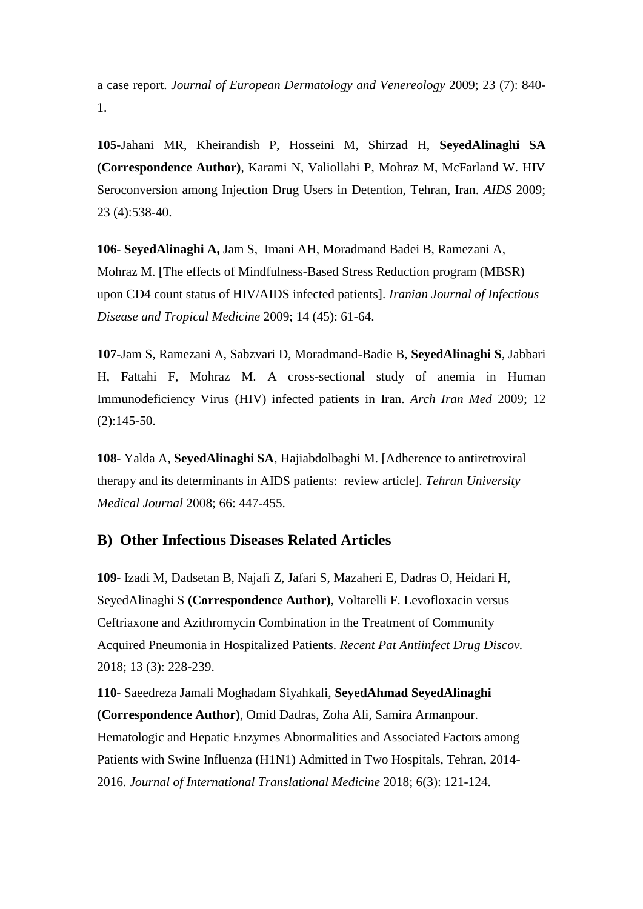a case report. *Journal of European Dermatology and Venereology* 2009; 23 (7): 840- 1.

**105**-Jahani MR, Kheirandish P, Hosseini M, Shirzad H, **SeyedAlinaghi SA (Correspondence Author)**, Karami N, Valiollahi P, Mohraz M, McFarland W. HIV Seroconversion among Injection Drug Users in Detention, Tehran, Iran. *AIDS* 2009; 23 (4):538-40.

**106**- **SeyedAlinaghi A,** Jam S, Imani AH, Moradmand Badei B, Ramezani A, Mohraz M. [The effects of Mindfulness-Based Stress Reduction program (MBSR) upon CD4 count status of HIV/AIDS infected patients]. *Iranian Journal of Infectious Disease and Tropical Medicine* 2009; 14 (45): 61-64.

**107**-Jam S, Ramezani A, Sabzvari D, Moradmand-Badie B, **SeyedAlinaghi S**, Jabbari H, Fattahi F, Mohraz M. A cross-sectional study of anemia in Human Immunodeficiency Virus (HIV) infected patients in Iran. *Arch Iran Med* 2009; 12  $(2):145-50.$ 

**108**- Yalda A, **SeyedAlinaghi SA**, Hajiabdolbaghi M. [Adherence to antiretroviral therapy and its determinants in AIDS patients: review article]. *Tehran University Medical Journal* 2008; 66: 447-455.

### **B) Other Infectious Diseases Related Articles**

**109**- [Izadi M,](https://www.ncbi.nlm.nih.gov/pubmed/?term=Izadi%20M%5BAuthor%5D&cauthor=true&cauthor_uid=30360748) [Dadsetan B,](https://www.ncbi.nlm.nih.gov/pubmed/?term=Dadsetan%20B%5BAuthor%5D&cauthor=true&cauthor_uid=30360748) [Najafi Z,](https://www.ncbi.nlm.nih.gov/pubmed/?term=Najafi%20Z%5BAuthor%5D&cauthor=true&cauthor_uid=30360748) [Jafari S,](https://www.ncbi.nlm.nih.gov/pubmed/?term=Jafari%20S%5BAuthor%5D&cauthor=true&cauthor_uid=30360748) [Mazaheri E,](https://www.ncbi.nlm.nih.gov/pubmed/?term=Mazaheri%20E%5BAuthor%5D&cauthor=true&cauthor_uid=30360748) [Dadras O,](https://www.ncbi.nlm.nih.gov/pubmed/?term=Dadras%20O%5BAuthor%5D&cauthor=true&cauthor_uid=30360748) [Heidari H,](https://www.ncbi.nlm.nih.gov/pubmed/?term=Heidari%20H%5BAuthor%5D&cauthor=true&cauthor_uid=30360748) [SeyedAlinaghi S](https://www.ncbi.nlm.nih.gov/pubmed/?term=SeyedAlinaghi%20S%5BAuthor%5D&cauthor=true&cauthor_uid=30360748) **(Correspondence Author)**, [Voltarelli F.](https://www.ncbi.nlm.nih.gov/pubmed/?term=Voltarelli%20F%5BAuthor%5D&cauthor=true&cauthor_uid=30360748) Levofloxacin versus Ceftriaxone and Azithromycin Combination in the Treatment of Community Acquired Pneumonia in Hospitalized Patients. *[Recent Pat Antiinfect Drug Discov.](https://www.ncbi.nlm.nih.gov/pubmed/30360748)* 2018; 13 (3): 228-239.

**110**- Saeedreza Jamali Moghadam Siyahkali, **SeyedAhmad SeyedAlinaghi (Correspondence Author)**, Omid Dadras, Zoha Ali, Samira Armanpour. Hematologic and Hepatic Enzymes Abnormalities and Associated Factors among Patients with Swine Influenza (H1N1) Admitted in Two Hospitals, Tehran, 2014- 2016. *Journal of International Translational Medicine* 2018; 6(3): 121-124.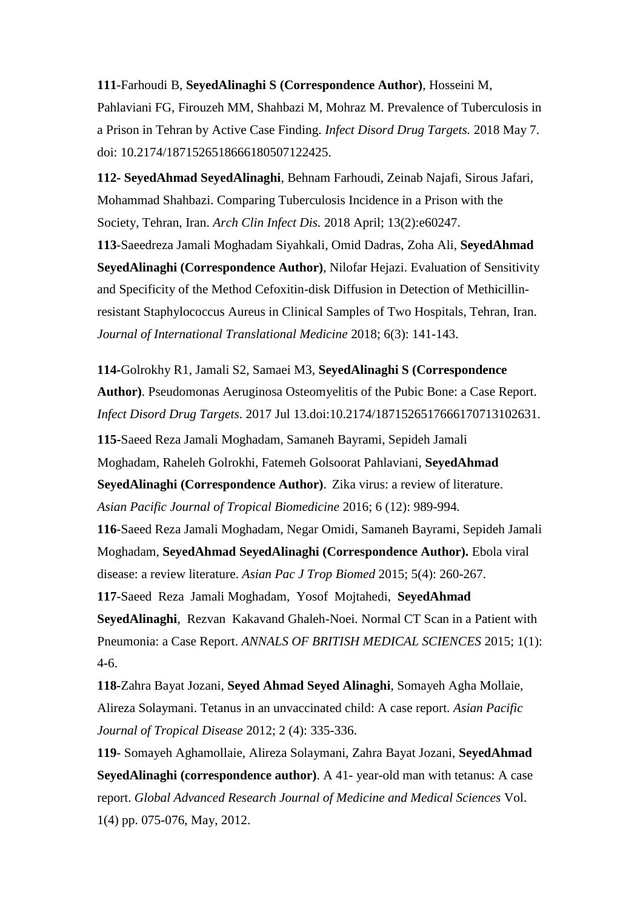# **111**[-Farhoudi B,](https://www.ncbi.nlm.nih.gov/pubmed/?term=Farhoudi%20B%5BAuthor%5D&cauthor=true&cauthor_uid=29732982) **[SeyedAlinaghi S](https://www.ncbi.nlm.nih.gov/pubmed/?term=SeyedAlinaghi%20S%5BAuthor%5D&cauthor=true&cauthor_uid=29732982) (Correspondence Author)**, [Hosseini M,](https://www.ncbi.nlm.nih.gov/pubmed/?term=Hosseini%20M%5BAuthor%5D&cauthor=true&cauthor_uid=29732982) [Pahlaviani FG,](https://www.ncbi.nlm.nih.gov/pubmed/?term=Pahlaviani%20FG%5BAuthor%5D&cauthor=true&cauthor_uid=29732982) [Firouzeh MM,](https://www.ncbi.nlm.nih.gov/pubmed/?term=Firouzeh%20MM%5BAuthor%5D&cauthor=true&cauthor_uid=29732982) [Shahbazi M,](https://www.ncbi.nlm.nih.gov/pubmed/?term=Shahbazi%20M%5BAuthor%5D&cauthor=true&cauthor_uid=29732982) [Mohraz M.](https://www.ncbi.nlm.nih.gov/pubmed/?term=Mohraz%20M%5BAuthor%5D&cauthor=true&cauthor_uid=29732982) Prevalence of Tuberculosis in a Prison in Tehran by Active Case Finding. *[Infect Disord Drug Targets.](https://www.ncbi.nlm.nih.gov/pubmed/29732982)* 2018 May 7. doi: 10.2174/1871526518666180507122425.

**112- SeyedAhmad SeyedAlinaghi**, Behnam Farhoudi, Zeinab Najafi, Sirous Jafari, Mohammad Shahbazi. Comparing Tuberculosis Incidence in a Prison with the Society, Tehran, Iran. *Arch Clin Infect Dis.* 2018 April; 13(2):e60247.

**113**-Saeedreza Jamali Moghadam Siyahkali, Omid Dadras, Zoha Ali, **SeyedAhmad SeyedAlinaghi (Correspondence Author)**, Nilofar Hejazi. Evaluation of Sensitivity and Specificity of the Method Cefoxitin-disk Diffusion in Detection of Methicillinresistant Staphylococcus Aureus in Clinical Samples of Two Hospitals, Tehran, Iran*. Journal of International Translational Medicine* 2018; 6(3): 141-143.

**114-**[Golrokhy R1](https://www.ncbi.nlm.nih.gov/pubmed/?term=Golrokhy%20R%5BAuthor%5D&cauthor=true&cauthor_uid=28707596), [Jamali S2](https://www.ncbi.nlm.nih.gov/pubmed/?term=Jamali%20S%5BAuthor%5D&cauthor=true&cauthor_uid=28707596), [Samaei M3](https://www.ncbi.nlm.nih.gov/pubmed/?term=Samaei%20M%5BAuthor%5D&cauthor=true&cauthor_uid=28707596), **[SeyedAlinaghi S](https://www.ncbi.nlm.nih.gov/pubmed/?term=SeyedAlinaghi%20S%5BAuthor%5D&cauthor=true&cauthor_uid=28707596) (Correspondence Author)**. Pseudomonas Aeruginosa Osteomyelitis of the Pubic Bone: a Case Report. *[Infect Disord Drug Targets](https://www.ncbi.nlm.nih.gov/pubmed/28707596)*. 2017 Jul 13.doi:10.2174/1871526517666170713102631.

**115-**Saeed Reza Jamali Moghadam, Samaneh Bayrami, Sepideh Jamali Moghadam, Raheleh Golrokhi, Fatemeh Golsoorat Pahlaviani, **SeyedAhmad SeyedAlinaghi (Correspondence Author)**. Zika virus: a review of literature.

*Asian Pacific Journal of Tropical Biomedicine* 2016; 6 (12): 989-994*.*

**116**-Saeed Reza Jamali Moghadam, Negar Omidi, Samaneh Bayrami, Sepideh Jamali Moghadam, **SeyedAhmad SeyedAlinaghi (Correspondence Author).** Ebola viral disease: a review literature. *Asian Pac J Trop Biomed* 2015; 5(4): 260-267.

**117**-Saeed Reza Jamali Moghadam, Yosof Mojtahedi, **SeyedAhmad SeyedAlinaghi**, Rezvan Kakavand Ghaleh-Noei. Normal CT Scan in a Patient with Pneumonia: a Case Report. *ANNALS OF BRITISH MEDICAL SCIENCES* 2015; 1(1): 4-6.

**118-**Zahra Bayat Jozani, **Seyed Ahmad Seyed Alinaghi**, Somayeh Agha Mollaie, Alireza Solaymani. Tetanus in an unvaccinated child: A case report. *Asian Pacific Journal of Tropical Disease* 2012; 2 (4): 335-336.

**119**- Somayeh Aghamollaie, Alireza Solaymani, Zahra Bayat Jozani, **SeyedAhmad SeyedAlinaghi (correspondence author)**. A 41- year-old man with tetanus: A case report. *Global Advanced Research Journal of Medicine and Medical Sciences* Vol. 1(4) pp. 075-076, May, 2012.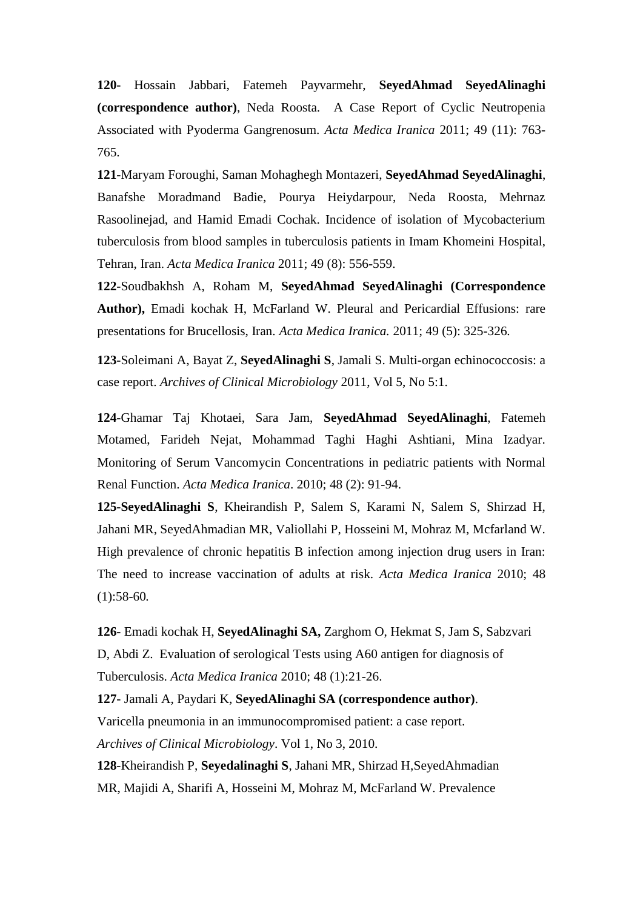**120**- Hossain Jabbari, Fatemeh Payvarmehr, **SeyedAhmad SeyedAlinaghi (correspondence author)**, Neda Roosta. A Case Report of Cyclic Neutropenia Associated with Pyoderma Gangrenosum. *Acta Medica Iranica* 2011; 49 (11): 763- 765.

**121**-Maryam Foroughi, Saman Mohaghegh Montazeri, **SeyedAhmad SeyedAlinaghi**, Banafshe Moradmand Badie, Pourya Heiydarpour, Neda Roosta, Mehrnaz Rasoolinejad, and Hamid Emadi Cochak. Incidence of isolation of Mycobacterium tuberculosis from blood samples in tuberculosis patients in Imam Khomeini Hospital, Tehran, Iran. *Acta Medica Iranica* 2011; 49 (8): 556-559.

**122**-Soudbakhsh A, Roham M, **SeyedAhmad SeyedAlinaghi (Correspondence Author),** Emadi kochak H, McFarland W. Pleural and Pericardial Effusions: rare presentations for Brucellosis, Iran. *Acta Medica Iranica.* 2011; 49 (5): 325-326*.*

**123**-Soleimani A, Bayat Z, **SeyedAlinaghi S**, Jamali S. Multi-organ echinococcosis: a case report. *Archives of Clinical Microbiology* 2011, Vol 5, No 5:1.

**124**-Ghamar Taj Khotaei, Sara Jam, **SeyedAhmad SeyedAlinaghi**, Fatemeh Motamed, Farideh Nejat, Mohammad Taghi Haghi Ashtiani, Mina Izadyar. Monitoring of Serum Vancomycin Concentrations in pediatric patients with Normal Renal Function. *Acta Medica Iranica*. 2010; 48 (2): 91-94.

**125**-**SeyedAlinaghi S**, Kheirandish P, Salem S, Karami N, Salem S, Shirzad H, Jahani MR, SeyedAhmadian MR, Valiollahi P, Hosseini M, Mohraz M, Mcfarland W. High prevalence of chronic hepatitis B infection among injection drug users in Iran: The need to increase vaccination of adults at risk. *Acta Medica Iranica* 2010; 48 (1):58-60*.*

**126**- Emadi kochak H, **SeyedAlinaghi SA,** Zarghom O, Hekmat S, Jam S, Sabzvari D, Abdi Z. Evaluation of serological Tests using A60 antigen for diagnosis of Tuberculosis. *Acta Medica Iranica* 2010; 48 (1):21-26.

**127**- Jamali A, Paydari K, **SeyedAlinaghi SA (correspondence author)**. Varicella pneumonia in an immunocompromised patient: a case report. *Archives of Clinical Microbiology*. Vol 1, No 3, 2010.

**128**-Kheirandish P, **Seyedalinaghi S**, Jahani MR, Shirzad H,SeyedAhmadian MR, Majidi A, Sharifi A, Hosseini M, Mohraz M, McFarland W. Prevalence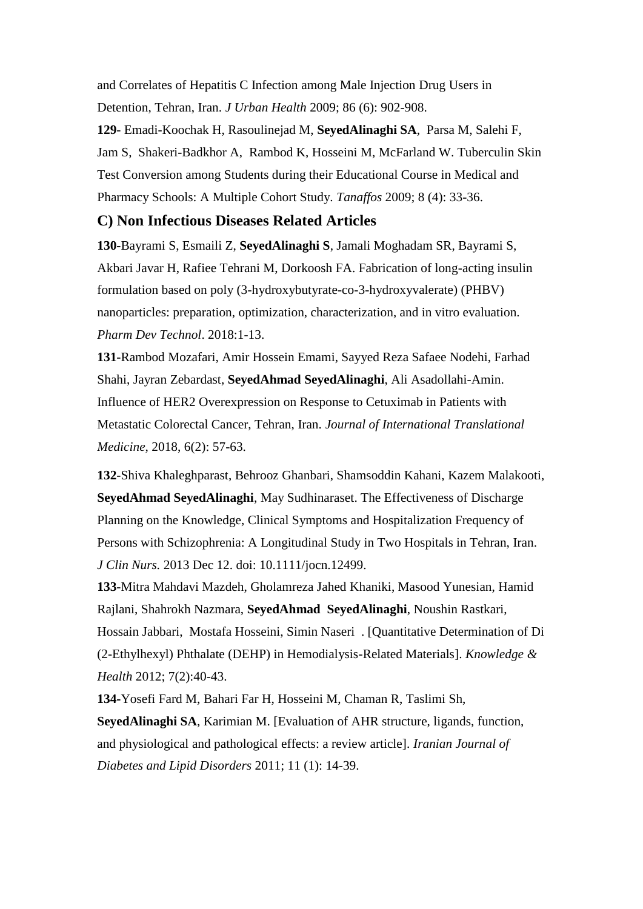and Correlates of Hepatitis C Infection among Male Injection Drug Users in Detention, Tehran, Iran. *J Urban Health* 2009; 86 (6): 902-908.

**129**- Emadi-Koochak H, Rasoulinejad M, **SeyedAlinaghi SA**, Parsa M, Salehi F, Jam S, Shakeri-Badkhor A, Rambod K, Hosseini M, McFarland W. Tuberculin Skin Test Conversion among Students during their Educational Course in Medical and Pharmacy Schools: A Multiple Cohort Study. *Tanaffos* 2009; 8 (4): 33-36.

#### **C) Non Infectious Diseases Related Articles**

**130-**Bayrami S, Esmaili Z, **SeyedAlinaghi S**, Jamali Moghadam SR, Bayrami S, Akbari Javar H, Rafiee Tehrani M, Dorkoosh FA. Fabrication of long-acting insulin formulation based on poly (3-hydroxybutyrate-co-3-hydroxyvalerate) (PHBV) nanoparticles: preparation, optimization, characterization, and in vitro evaluation. *Pharm Dev Technol*. 2018:1-13.

**131**-Rambod Mozafari, Amir Hossein Emami, Sayyed Reza Safaee Nodehi, Farhad Shahi, Jayran Zebardast, **SeyedAhmad SeyedAlinaghi**, Ali Asadollahi-Amin. Influence of HER2 Overexpression on Response to Cetuximab in Patients with Metastatic Colorectal Cancer, Tehran, Iran. *Journal of International Translational Medicine*, 2018, 6(2): 57-63.

**132**-Shiva Khaleghparast, Behrooz Ghanbari, Shamsoddin Kahani, Kazem Malakooti, **SeyedAhmad SeyedAlinaghi**, May Sudhinaraset. The Effectiveness of Discharge Planning on the Knowledge, Clinical Symptoms and Hospitalization Frequency of Persons with Schizophrenia: A Longitudinal Study in Two Hospitals in Tehran, Iran. *[J Clin Nurs.](http://www.ncbi.nlm.nih.gov/pubmed/24329909)* 2013 Dec 12. doi: 10.1111/jocn.12499.

**133**-Mitra Mahdavi Mazdeh, Gholamreza Jahed Khaniki, Masood Yunesian, Hamid Rajlani, Shahrokh Nazmara, **SeyedAhmad SeyedAlinaghi**, Noushin Rastkari, Hossain Jabbari, Mostafa Hosseini, Simin Naseri . [Quantitative Determination of Di (2-Ethylhexyl) Phthalate (DEHP) in Hemodialysis-Related Materials]. *Knowledge & Health* 2012; 7(2):40-43.

**134-**Yosefi Fard M, Bahari Far H, Hosseini M, Chaman R, Taslimi Sh, **SeyedAlinaghi SA**, Karimian M. [Evaluation of AHR structure, ligands, function, and physiological and pathological effects: a review article]. *[Iranian Journal of](http://journals.tums.ac.ir/description.aspx?org_id=59&culture_var=en&journal_id=12&issue_id=964&segment=fa)  [Diabetes and Lipid Disorders](http://journals.tums.ac.ir/description.aspx?org_id=59&culture_var=en&journal_id=12&issue_id=964&segment=fa)* 2011; 11 (1): 14-39.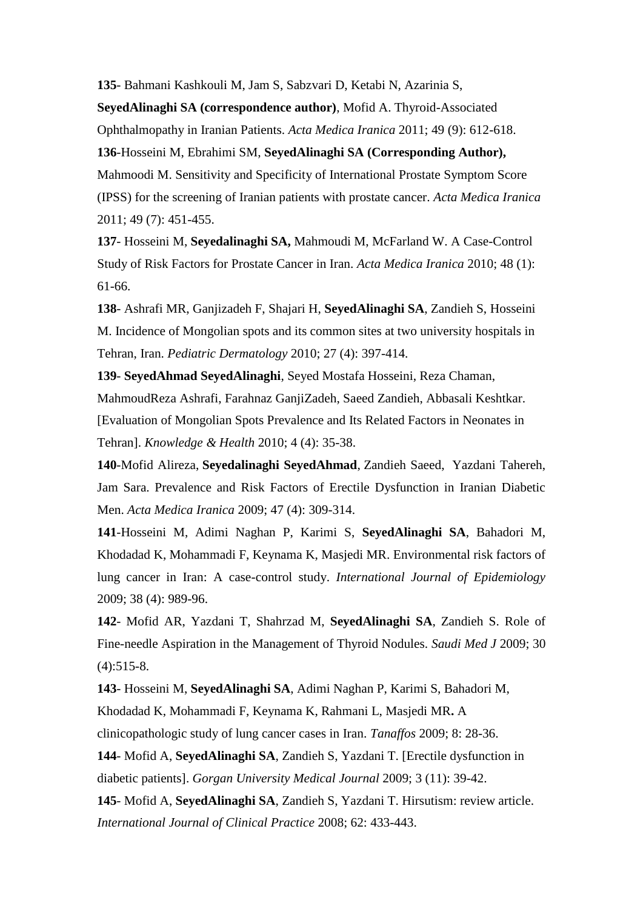**135**- Bahmani Kashkouli M, Jam S, Sabzvari D, Ketabi N, Azarinia S,

**SeyedAlinaghi SA (correspondence author)**, Mofid A. Thyroid-Associated

Ophthalmopathy in Iranian Patients. *Acta Medica Iranica* 2011; 49 (9): 612-618.

**136**-Hosseini M, Ebrahimi SM, **SeyedAlinaghi SA (Corresponding Author),**

Mahmoodi M. Sensitivity and Specificity of International Prostate Symptom Score (IPSS) for the screening of Iranian patients with prostate cancer. *Acta Medica Iranica* 2011; 49 (7): 451-455.

**137**- Hosseini M, **Seyedalinaghi SA,** Mahmoudi M, McFarland W. A Case-Control Study of Risk Factors for Prostate Cancer in Iran. *Acta Medica Iranica* 2010; 48 (1): 61-66.

**138**- Ashrafi MR, Ganjizadeh F, Shajari H, **SeyedAlinaghi SA**, Zandieh S, Hosseini M. Incidence of Mongolian spots and its common sites at two university hospitals in Tehran, Iran. *Pediatric Dermatology* 2010; 27 (4): 397-414.

**139**- **SeyedAhmad SeyedAlinaghi**, Seyed Mostafa Hosseini, Reza Chaman, MahmoudReza Ashrafi, Farahnaz GanjiZadeh, Saeed Zandieh, Abbasali Keshtkar. [Evaluation of Mongolian Spots Prevalence and Its Related Factors in Neonates in Tehran]. *Knowledge & Health* 2010; 4 (4): 35-38.

**140**-Mofid Alireza, **Seyedalinaghi SeyedAhmad**, Zandieh Saeed, Yazdani Tahereh, Jam Sara. Prevalence and Risk Factors of Erectile Dysfunction in Iranian Diabetic Men. *Acta Medica Iranica* 2009; 47 (4): 309-314.

**141**-Hosseini M, Adimi Naghan P, Karimi S, **SeyedAlinaghi SA**, Bahadori M, Khodadad K, Mohammadi F, Keynama K, Masjedi MR. Environmental risk factors of lung cancer in Iran: A case-control study. *International Journal of Epidemiology* 2009; 38 (4): 989-96.

**142**- Mofid AR, Yazdani T, Shahrzad M, **SeyedAlinaghi SA**, Zandieh S. Role of Fine-needle Aspiration in the Management of Thyroid Nodules. *Saudi Med J* 2009; 30 (4):515-8.

**143**- Hosseini M, **SeyedAlinaghi SA**, Adimi Naghan P, Karimi S, Bahadori M, Khodadad K, Mohammadi F, Keynama K, Rahmani L, Masjedi MR**.** A clinicopathologic study of lung cancer cases in Iran. *Tanaffos* 2009; 8: 28-36.

**144**- Mofid A, **SeyedAlinaghi SA**, Zandieh S, Yazdani T. [Erectile dysfunction in diabetic patients]. *Gorgan University Medical Journal* 2009; 3 (11): 39-42.

**145**- Mofid A, **SeyedAlinaghi SA**, Zandieh S, Yazdani T. Hirsutism: review article. *International Journal of Clinical Practice* 2008; 62: 433-443.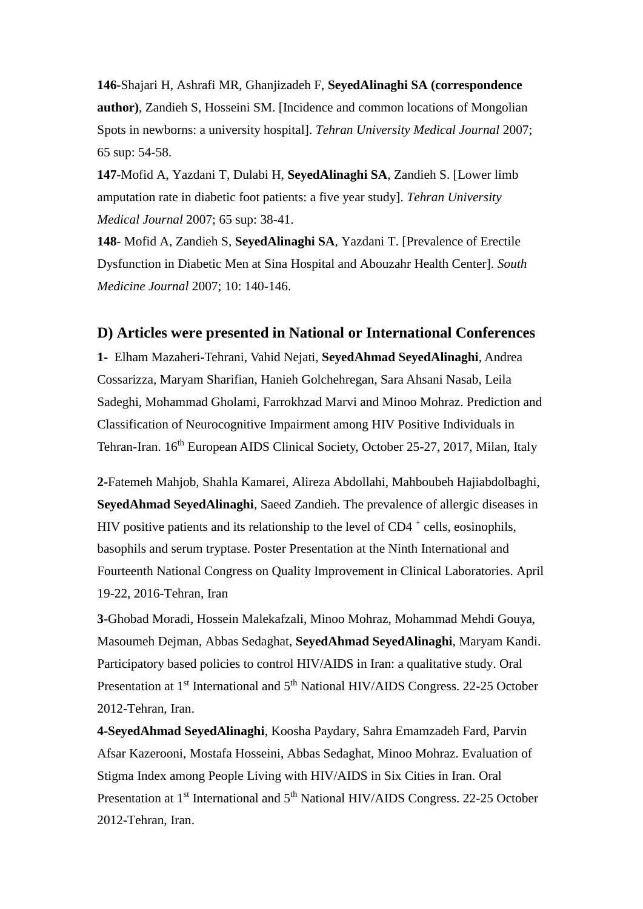**146**-Shajari H, Ashrafi MR, Ghanjizadeh F, **SeyedAlinaghi SA (correspondence author)**, Zandieh S, Hosseini SM. [Incidence and common locations of Mongolian Spots in newborns: a university hospital]. *Tehran University Medical Journal* 2007; 65 sup: 54-58.

**147**-Mofid A, Yazdani T, Dulabi H, **SeyedAlinaghi SA**, Zandieh S. [Lower limb amputation rate in diabetic foot patients: a five year study]. *Tehran University Medical Journal* 2007; 65 sup: 38-41.

**148**- Mofid A, Zandieh S, **SeyedAlinaghi SA**, Yazdani T. [Prevalence of Erectile Dysfunction in Diabetic Men at Sina Hospital and Abouzahr Health Center]. *South Medicine Journal* 2007; 10: 140-146.

#### **D) Articles were presented in National or International Conferences**

**1-** Elham Mazaheri-Tehrani, Vahid Nejati, **SeyedAhmad SeyedAlinaghi**, Andrea Cossarizza, Maryam Sharifian, Hanieh Golchehregan, Sara Ahsani Nasab, Leila Sadeghi, Mohammad Gholami, Farrokhzad Marvi and Minoo Mohraz. Prediction and Classification of Neurocognitive Impairment among HIV Positive Individuals in Tehran-Iran. 16th European AIDS Clinical Society, October 25-27, 2017, Milan, Italy

**2-**Fatemeh Mahjob, Shahla Kamarei, Alireza Abdollahi, Mahboubeh Hajiabdolbaghi, **SeyedAhmad SeyedAlinaghi**, Saeed Zandieh. The prevalence of allergic diseases in HIV positive patients and its relationship to the level of CD4 <sup>+</sup> cells, eosinophils, basophils and serum tryptase. Poster Presentation at the Ninth International and Fourteenth National Congress on Quality Improvement in Clinical Laboratories. April 19-22, 2016-Tehran, Iran

**3**-Ghobad Moradi, Hossein Malekafzali, Minoo Mohraz, Mohammad Mehdi Gouya, Masoumeh Dejman, Abbas Sedaghat, **SeyedAhmad SeyedAlinaghi**, Maryam Kandi. Participatory based policies to control HIV/AIDS in Iran: a qualitative study. Oral Presentation at 1<sup>st</sup> International and 5<sup>th</sup> National HIV/AIDS Congress. 22-25 October 2012-Tehran, Iran.

**4-SeyedAhmad SeyedAlinaghi**, Koosha Paydary, Sahra Emamzadeh Fard, Parvin Afsar Kazerooni, Mostafa Hosseini, Abbas Sedaghat, Minoo Mohraz. Evaluation of Stigma Index among People Living with HIV/AIDS in Six Cities in Iran. Oral Presentation at 1<sup>st</sup> International and 5<sup>th</sup> National HIV/AIDS Congress. 22-25 October 2012-Tehran, Iran.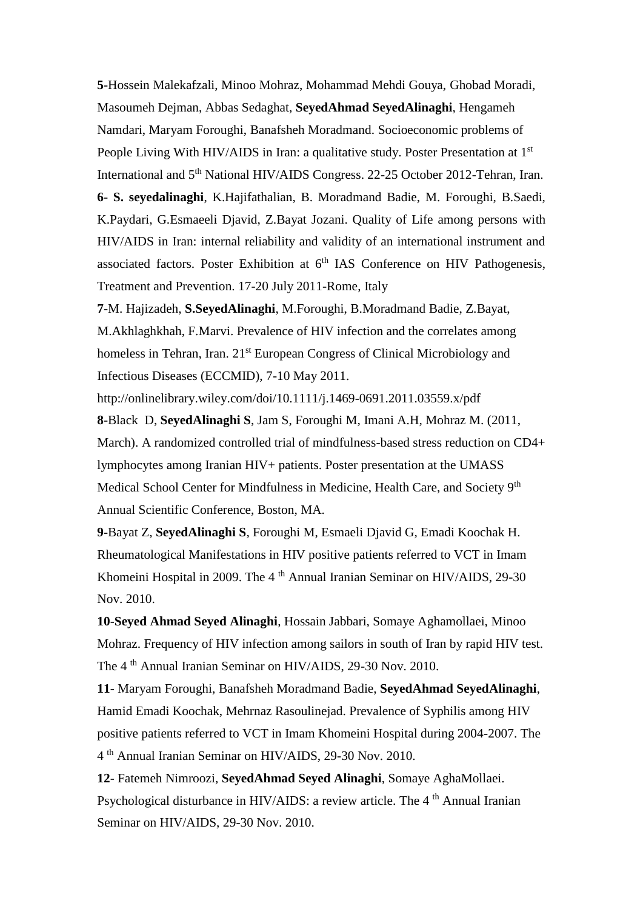**5**-Hossein Malekafzali, Minoo Mohraz, Mohammad Mehdi Gouya, Ghobad Moradi, Masoumeh Dejman, Abbas Sedaghat, **SeyedAhmad SeyedAlinaghi**, Hengameh Namdari, Maryam Foroughi, Banafsheh Moradmand. Socioeconomic problems of People Living With HIV/AIDS in Iran: a qualitative study. Poster Presentation at 1<sup>st</sup> International and 5<sup>th</sup> National HIV/AIDS Congress. 22-25 October 2012-Tehran, Iran. **6**- **S. seyedalinaghi**, K.Hajifathalian, B. Moradmand Badie, M. Foroughi, B.Saedi, K.Paydari, G.Esmaeeli Djavid, Z.Bayat Jozani. Quality of Life among persons with HIV/AIDS in Iran: internal reliability and validity of an international instrument and associated factors. Poster Exhibition at 6<sup>th</sup> IAS Conference on HIV Pathogenesis, Treatment and Prevention. 17-20 July 2011-Rome, Italy

**7**-M. Hajizadeh, **S.SeyedAlinaghi**, M.Foroughi, B.Moradmand Badie, Z.Bayat, M.Akhlaghkhah, F.Marvi. Prevalence of HIV infection and the correlates among homeless in Tehran, Iran. 21<sup>st</sup> European Congress of Clinical Microbiology and Infectious Diseases (ECCMID), 7-10 May 2011.

<http://onlinelibrary.wiley.com/doi/10.1111/j.1469-0691.2011.03559.x/pdf>

**8**-Black D, **SeyedAlinaghi S**, Jam S, Foroughi M, Imani A.H, Mohraz M. (2011, March). A randomized controlled trial of mindfulness-based stress reduction on CD4+ lymphocytes among Iranian HIV+ patients. Poster presentation at the UMASS Medical School Center for Mindfulness in Medicine, Health Care, and Society 9<sup>th</sup> Annual Scientific Conference, Boston, MA.

**9-**Bayat Z, **SeyedAlinaghi S**, Foroughi M, Esmaeli Djavid G, Emadi Koochak H. Rheumatological Manifestations in HIV positive patients referred to VCT in Imam Khomeini Hospital in 2009. The 4<sup>th</sup> Annual Iranian Seminar on HIV/AIDS, 29-30 Nov. 2010.

**10**-**Seyed Ahmad Seyed Alinaghi**, Hossain Jabbari, Somaye Aghamollaei, Minoo Mohraz. Frequency of HIV infection among sailors in south of Iran by rapid HIV test. The 4 th Annual Iranian Seminar on HIV/AIDS, 29-30 Nov. 2010.

**11**- Maryam Foroughi, Banafsheh Moradmand Badie, **SeyedAhmad SeyedAlinaghi**, Hamid Emadi Koochak, Mehrnaz Rasoulinejad. Prevalence of Syphilis among HIV positive patients referred to VCT in Imam Khomeini Hospital during 2004-2007. The 4 th Annual Iranian Seminar on HIV/AIDS, 29-30 Nov. 2010.

**12**- Fatemeh Nimroozi, **SeyedAhmad Seyed Alinaghi**, Somaye AghaMollaei. Psychological disturbance in HIV/AIDS: a review article. The 4<sup>th</sup> Annual Iranian Seminar on HIV/AIDS, 29-30 Nov. 2010.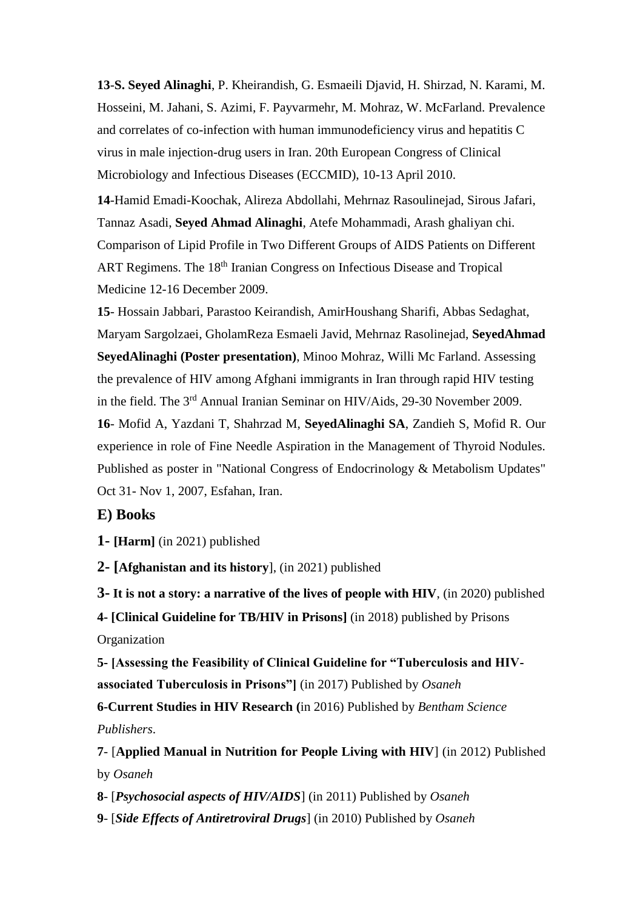**13**-**S. Seyed Alinaghi**, P. Kheirandish, G. Esmaeili Djavid, H. Shirzad, N. Karami, M. Hosseini, M. Jahani, S. Azimi, F. Payvarmehr, M. Mohraz, W. McFarland. Prevalence and correlates of co-infection with human immunodeficiency virus and hepatitis C virus in male injection-drug users in Iran. 20th European Congress of Clinical Microbiology and Infectious Diseases (ECCMID), 10-13 April 2010.

**14**-Hamid Emadi-Koochak, Alireza Abdollahi, Mehrnaz Rasoulinejad, Sirous Jafari, Tannaz Asadi, **Seyed Ahmad Alinaghi**, Atefe Mohammadi, Arash ghaliyan chi. Comparison of Lipid Profile in Two Different Groups of AIDS Patients on Different ART Regimens. The 18<sup>th</sup> Iranian Congress on Infectious Disease and Tropical Medicine 12-16 December 2009.

**15**- Hossain Jabbari, Parastoo Keirandish, AmirHoushang Sharifi, Abbas Sedaghat, Maryam Sargolzaei, GholamReza Esmaeli Javid, Mehrnaz Rasolinejad, **SeyedAhmad SeyedAlinaghi (Poster presentation)**, Minoo Mohraz, Willi Mc Farland. Assessing the prevalence of HIV among Afghani immigrants in Iran through rapid HIV testing in the field. The 3rd Annual Iranian Seminar on HIV/Aids, 29-30 November 2009. **16**- Mofid A, Yazdani T, Shahrzad M, **SeyedAlinaghi SA**, Zandieh S, Mofid R. Our experience in role of Fine Needle Aspiration in the Management of Thyroid Nodules.

Published as poster in "National Congress of Endocrinology & Metabolism Updates" Oct 31- Nov 1, 2007, Esfahan, Iran.

#### **E) Books**

**1- [Harm]** (in 2021) published

**2- [Afghanistan and its history**], (in 2021) published

**3- It is not a story: a narrative of the lives of people with HIV**, (in 2020) published **4- [Clinical Guideline for TB/HIV in Prisons]** (in 2018) published by Prisons **Organization** 

**5- [Assessing the Feasibility of Clinical Guideline for "Tuberculosis and HIVassociated Tuberculosis in Prisons"]** (in 2017) Published by *Osaneh*

**6-Current Studies in HIV Research (**in 2016) Published by *Bentham Science Publishers*.

**7**- [**Applied Manual in Nutrition for People Living with HIV**] (in 2012) Published by *Osaneh*

**8**- [*Psychosocial aspects of HIV/AIDS*] (in 2011) Published by *Osaneh*

**9**- [*Side Effects of Antiretroviral Drugs*] (in 2010) Published by *Osaneh*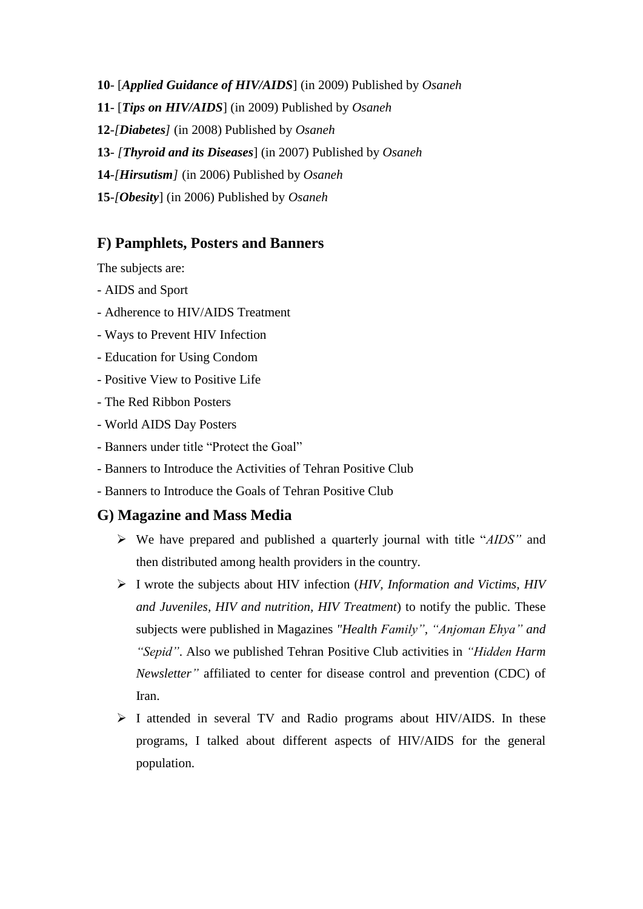- **10** [*Applied Guidance of HIV/AIDS*] (in 2009) Published by *Osaneh*
- **11** [*Tips on HIV/AIDS*] (in 2009) Published by *Osaneh*
- **12***-[Diabetes]* (in 2008) Published by *Osaneh*
- **13** *[Thyroid and its Diseases*] (in 2007) Published by *Osaneh*
- **14**-*[Hirsutism]* (in 2006) Published by *Osaneh*
- **15**-*[Obesity*] (in 2006) Published by *Osaneh*

### **F) Pamphlets, Posters and Banners**

The subjects are:

- AIDS and Sport
- Adherence to HIV/AIDS Treatment
- Ways to Prevent HIV Infection
- Education for Using Condom
- Positive View to Positive Life
- The Red Ribbon Posters
- World AIDS Day Posters
- Banners under title "Protect the Goal"
- Banners to Introduce the Activities of Tehran Positive Club
- Banners to Introduce the Goals of Tehran Positive Club

# **G) Magazine and Mass Media**

- We have prepared and published a quarterly journal with title "*AIDS"* and then distributed among health providers in the country.
- I wrote the subjects about HIV infection (*HIV, Information and Victims, HIV and Juveniles, HIV and nutrition, HIV Treatment*) to notify the public. These subjects were published in Magazines *"Health Family", "Anjoman Ehya" and "Sepid"*. Also we published Tehran Positive Club activities in *"Hidden Harm Newsletter"* affiliated to center for disease control and prevention (CDC) of Iran.
- $\triangleright$  I attended in several TV and Radio programs about HIV/AIDS. In these programs, I talked about different aspects of HIV/AIDS for the general population.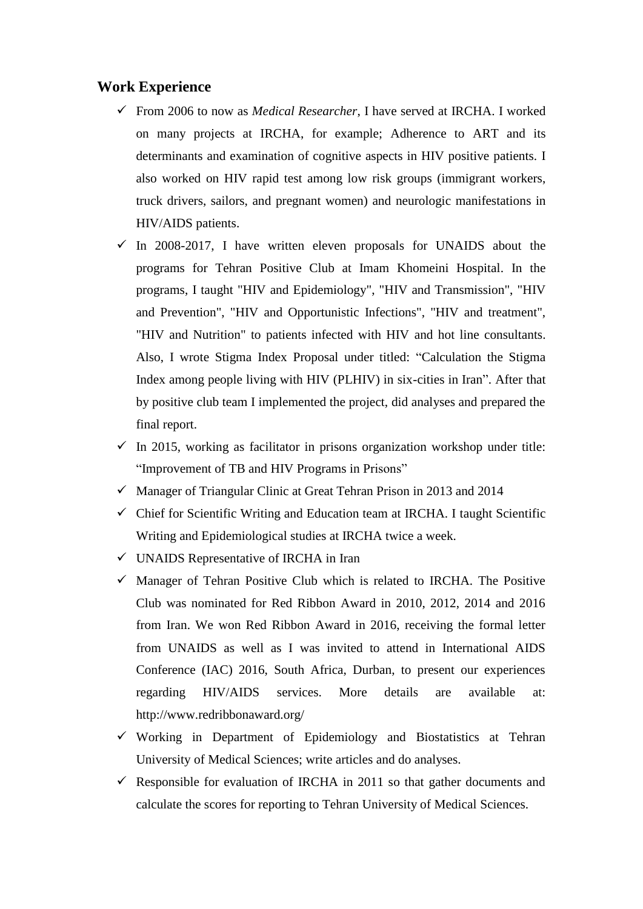#### **Work Experience**

- From 2006 to now as *Medical Researcher*, I have served at IRCHA. I worked on many projects at IRCHA, for example; Adherence to ART and its determinants and examination of cognitive aspects in HIV positive patients. I also worked on HIV rapid test among low risk groups (immigrant workers, truck drivers, sailors, and pregnant women) and neurologic manifestations in HIV/AIDS patients.
- $\checkmark$  In 2008-2017, I have written eleven proposals for UNAIDS about the programs for Tehran Positive Club at Imam Khomeini Hospital. In the programs, I taught "HIV and Epidemiology", "HIV and Transmission", "HIV and Prevention", "HIV and Opportunistic Infections", "HIV and treatment", "HIV and Nutrition" to patients infected with HIV and hot line consultants. Also, I wrote Stigma Index Proposal under titled: "Calculation the Stigma Index among people living with HIV (PLHIV) in six-cities in Iran". After that by positive club team I implemented the project, did analyses and prepared the final report.
- $\checkmark$  In 2015, working as facilitator in prisons organization workshop under title: "Improvement of TB and HIV Programs in Prisons"
- $\checkmark$  Manager of Triangular Clinic at Great Tehran Prison in 2013 and 2014
- $\checkmark$  Chief for Scientific Writing and Education team at IRCHA. I taught Scientific Writing and Epidemiological studies at IRCHA twice a week.
- $\checkmark$  UNAIDS Representative of IRCHA in Iran
- $\checkmark$  Manager of Tehran Positive Club which is related to IRCHA. The Positive Club was nominated for Red Ribbon Award in 2010, 2012, 2014 and 2016 from Iran. We won Red Ribbon Award in 2016, receiving the formal letter from UNAIDS as well as I was invited to attend in International AIDS Conference (IAC) 2016, South Africa, Durban, to present our experiences regarding HIV/AIDS services. More details are available at: http://www.redribbonaward.org/
- $\checkmark$  Working in Department of Epidemiology and Biostatistics at Tehran University of Medical Sciences; write articles and do analyses.
- $\checkmark$  Responsible for evaluation of IRCHA in 2011 so that gather documents and calculate the scores for reporting to Tehran University of Medical Sciences.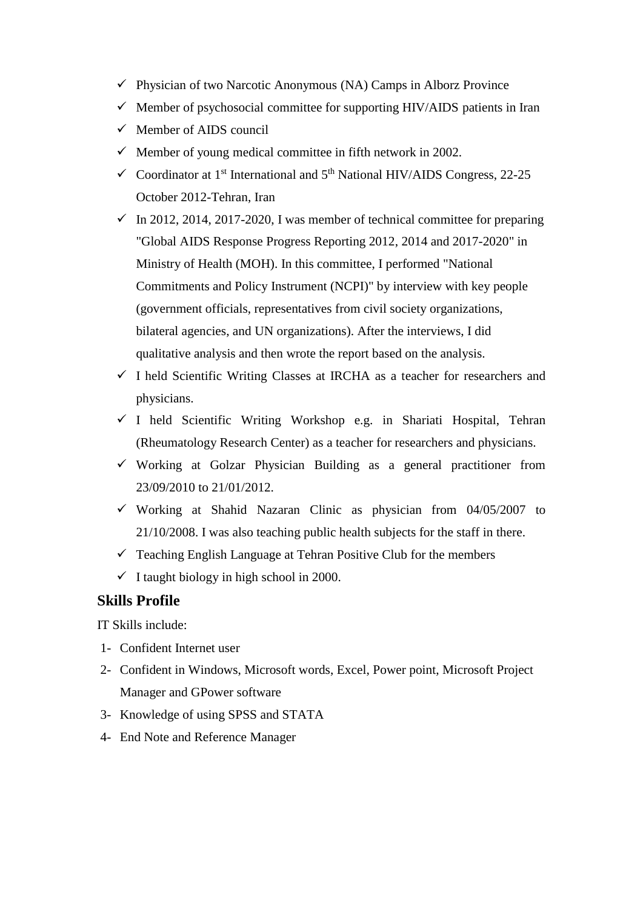- $\checkmark$  Physician of two Narcotic Anonymous (NA) Camps in Alborz Province
- $\checkmark$  Member of psychosocial committee for supporting HIV/AIDS patients in Iran
- $\checkmark$  Member of AIDS council
- $\checkmark$  Member of young medical committee in fifth network in 2002.
- $\checkmark$  Coordinator at 1<sup>st</sup> International and 5<sup>th</sup> National HIV/AIDS Congress, 22-25 October 2012-Tehran, Iran
- $\checkmark$  In 2012, 2014, 2017-2020, I was member of technical committee for preparing "Global AIDS Response Progress Reporting 2012, 2014 and 2017-2020" in Ministry of Health (MOH). In this committee, I performed "National Commitments and Policy Instrument (NCPI)" by interview with key people (government officials, representatives from civil society organizations, bilateral agencies, and UN organizations). After the interviews, I did qualitative analysis and then wrote the report based on the analysis.
- $\checkmark$  I held Scientific Writing Classes at IRCHA as a teacher for researchers and physicians.
- $\checkmark$  I held Scientific Writing Workshop e.g. in Shariati Hospital, Tehran (Rheumatology Research Center) as a teacher for researchers and physicians.
- $\checkmark$  Working at Golzar Physician Building as a general practitioner from 23/09/2010 to 21/01/2012.
- $\checkmark$  Working at Shahid Nazaran Clinic as physician from 04/05/2007 to 21/10/2008. I was also teaching public health subjects for the staff in there.
- $\checkmark$  Teaching English Language at Tehran Positive Club for the members
- $\checkmark$  I taught biology in high school in 2000.

### **Skills Profile**

IT Skills include:

- 1- Confident Internet user
- 2- Confident in Windows, Microsoft words, Excel, Power point, Microsoft Project Manager and GPower software
- 3- Knowledge of using SPSS and STATA
- 4- End Note and Reference Manager